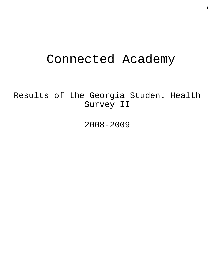# Connected Academy

Results of the Georgia Student Health Survey II

2008-2009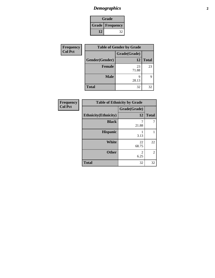# *Demographics* **2**

| Grade                    |    |
|--------------------------|----|
| <b>Grade   Frequency</b> |    |
| 12                       | 32 |

| Frequency      | <b>Table of Gender by Grade</b> |              |              |
|----------------|---------------------------------|--------------|--------------|
| <b>Col Pct</b> |                                 | Grade(Grade) |              |
|                | Gender(Gender)                  | 12           | <b>Total</b> |
|                | <b>Female</b>                   | 23<br>71.88  | 23           |
|                | <b>Male</b>                     | Q<br>28.13   | 9            |
|                | <b>Total</b>                    | 32           | 32           |

| <b>Frequency</b><br>Col Pct |
|-----------------------------|

| <b>Table of Ethnicity by Grade</b> |              |              |
|------------------------------------|--------------|--------------|
|                                    | Grade(Grade) |              |
| <b>Ethnicity</b> (Ethnicity)       | 12           | <b>Total</b> |
| <b>Black</b>                       | 7<br>21.88   |              |
| <b>Hispanic</b>                    | 3.13         |              |
| White                              | 22<br>68.75  | 22           |
| <b>Other</b>                       | 2<br>6.25    | 2            |
| <b>Total</b>                       | 32           | 32           |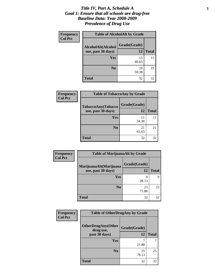#### *Title IV, Part A, Schedule A* **3** *Goal 1: Ensure that all schools are drug-free Baseline Data: Year 2008-2009 Prevalence of Drug Use*

| <b>Frequency</b> | <b>Table of AlcoholAlt by Grade</b> |              |              |
|------------------|-------------------------------------|--------------|--------------|
| <b>Col Pct</b>   | AlcoholAlt(Alcohol                  | Grade(Grade) |              |
|                  | use, past 30 days)                  | 12           | <b>Total</b> |
|                  | Yes                                 | 13<br>40.63  | 13           |
|                  | N <sub>0</sub>                      | 19<br>59.38  | 19           |
|                  | Total                               | 32           | 32           |

| <b>Frequency</b> | <b>Table of TobaccoAny by Grade</b>      |                    |              |
|------------------|------------------------------------------|--------------------|--------------|
| <b>Col Pct</b>   | TobaccoAny(Tobacco<br>use, past 30 days) | Grade(Grade)<br>12 | <b>Total</b> |
|                  | Yes                                      | 11<br>34.38        | 11           |
|                  | N <sub>0</sub>                           | 21<br>65.63        | 21           |
|                  | <b>Total</b>                             | 32                 | 32           |

| <b>Frequency</b> | <b>Table of MarijuanaAlt by Grade</b> |              |              |
|------------------|---------------------------------------|--------------|--------------|
| <b>Col Pct</b>   | MarijuanaAlt(Marijuana                | Grade(Grade) |              |
|                  | use, past 30 days)                    | 12           | <b>Total</b> |
|                  | Yes                                   | q<br>28.13   |              |
|                  | N <sub>0</sub>                        | 23<br>71.88  | 23           |
|                  | <b>Total</b>                          | 32           | 32           |

| <b>Frequency</b> | <b>Table of OtherDrugAny by Grade</b>  |              |              |
|------------------|----------------------------------------|--------------|--------------|
| <b>Col Pct</b>   | <b>OtherDrugAny(Other</b><br>drug use, | Grade(Grade) |              |
|                  | past 30 days)                          | 12           | <b>Total</b> |
|                  | Yes                                    |              |              |
|                  |                                        | 21.88        |              |
|                  | N <sub>0</sub>                         | 25<br>78.13  | 25           |
|                  | <b>Total</b>                           | 32           | 32           |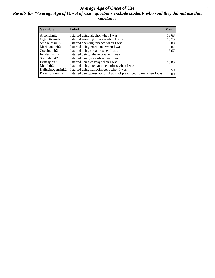#### *Average Age of Onset of Use* **4** *Results for "Average Age of Onset of Use" questions exclude students who said they did not use that substance*

| <b>Variable</b>       | Label                                                              | <b>Mean</b> |
|-----------------------|--------------------------------------------------------------------|-------------|
| Alcoholinit2          | I started using alcohol when I was                                 | 13.68       |
| Cigarettesinit2       | I started smoking tobacco when I was                               | 15.70       |
| Smokelessinit2        | I started chewing tobacco when I was                               | 15.00       |
| Marijuanainit2        | I started using marijuana when I was                               | 15.07       |
| Cocaineinit2          | I started using cocaine when I was                                 | 15.67       |
| Inhalantsinit2        | I started using inhalants when I was                               |             |
| Steroidsinit2         | I started using steroids when I was                                |             |
| Ecstasyinit2          | I started using ecstasy when I was                                 | 15.00       |
| Methinit <sub>2</sub> | I started using methamphetamines when I was                        |             |
| Hallucinogensinit2    | I started using hallucinogens when I was                           | 15.50       |
| Prescriptioninit2     | I started using prescription drugs not prescribed to me when I was | 15.00       |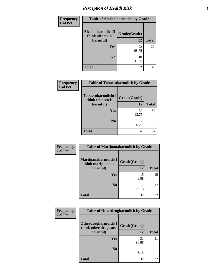# *Perception of Health Risk* **5**

| Frequency      | <b>Table of Alcoholharmdich by Grade</b> |              |              |
|----------------|------------------------------------------|--------------|--------------|
| <b>Col Pct</b> | Alcoholharmdich(I<br>think alcohol is    | Grade(Grade) |              |
|                | harmful)                                 | 12           | <b>Total</b> |
|                | <b>Yes</b>                               | 22           | 22           |
|                |                                          | 68.75        |              |
|                | N <sub>0</sub>                           | 10           | 10           |
|                |                                          | 31.25        |              |
|                | <b>Total</b>                             | 32           | 32           |

| <b>Frequency</b> | <b>Table of Tobaccoharmdich by Grade</b>          |                    |               |
|------------------|---------------------------------------------------|--------------------|---------------|
| <b>Col Pct</b>   | Tobaccoharmdich(I<br>think tobacco is<br>harmful) | Grade(Grade)<br>12 | <b>Total</b>  |
|                  | Yes                                               | 30<br>93.75        | 30            |
|                  | N <sub>0</sub>                                    | 6.25               | $\mathcal{L}$ |
|                  | <b>Total</b>                                      | 32                 | 32            |

| Frequency      | <b>Table of Marijuanaharmdich by Grade</b> |              |              |
|----------------|--------------------------------------------|--------------|--------------|
| <b>Col Pct</b> | Marijuanaharmdich(I<br>think marijuana is  | Grade(Grade) |              |
|                | harmful)                                   | 12           | <b>Total</b> |
|                | Yes                                        | 15<br>46.88  | 15           |
|                | N <sub>0</sub>                             | 17<br>53.13  | 17           |
|                | <b>Total</b>                               | 32           | 32           |

| Frequency      | <b>Table of Otherdrugharmdich by Grade</b>   |              |              |  |
|----------------|----------------------------------------------|--------------|--------------|--|
| <b>Col Pct</b> | Otherdrugharmdich(I<br>think other drugs are | Grade(Grade) |              |  |
|                | harmful)                                     | 12           | <b>Total</b> |  |
|                | Yes                                          | 31<br>96.88  | 31           |  |
|                | N <sub>0</sub>                               | 3.13         |              |  |
|                | <b>Total</b>                                 | 32           | 32           |  |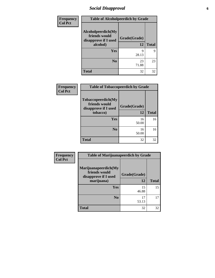### *Social Disapproval* **6**

| <b>Frequency</b> | <b>Table of Alcoholpeerdich by Grade</b>                                |                    |              |  |
|------------------|-------------------------------------------------------------------------|--------------------|--------------|--|
| <b>Col Pct</b>   | Alcoholpeerdich(My<br>friends would<br>disapprove if I used<br>alcohol) | Grade(Grade)<br>12 | <b>Total</b> |  |
|                  | Yes                                                                     | 9<br>28.13         | 9            |  |
|                  | N <sub>0</sub>                                                          | 23<br>71.88        | 23           |  |
|                  | <b>Total</b>                                                            | 32                 | 32           |  |

| <b>Frequency</b> | <b>Table of Tobaccopeerdich by Grade</b>                    |              |              |  |
|------------------|-------------------------------------------------------------|--------------|--------------|--|
| <b>Col Pct</b>   | Tobaccopeerdich(My<br>friends would<br>disapprove if I used | Grade(Grade) |              |  |
|                  | tobacco)                                                    | 12           | <b>Total</b> |  |
|                  | Yes                                                         | 16<br>50.00  | 16           |  |
|                  | N <sub>0</sub>                                              | 16<br>50.00  | 16           |  |
|                  | <b>Total</b>                                                | 32           | 32           |  |

| Frequency      | <b>Table of Marijuanapeerdich by Grade</b>                    |              |              |  |
|----------------|---------------------------------------------------------------|--------------|--------------|--|
| <b>Col Pct</b> | Marijuanapeerdich(My<br>friends would<br>disapprove if I used | Grade(Grade) |              |  |
|                | marijuana)                                                    | 12           | <b>Total</b> |  |
|                | <b>Yes</b>                                                    | 15<br>46.88  | 15           |  |
|                | N <sub>0</sub>                                                | 17<br>53.13  | 17           |  |
|                | <b>Total</b>                                                  | 32           | 32           |  |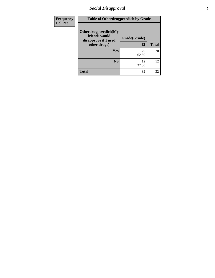### *Social Disapproval* **7**

| <b>Frequency</b> | <b>Table of Otherdrugpeerdich by Grade</b>                    |              |              |  |  |
|------------------|---------------------------------------------------------------|--------------|--------------|--|--|
| <b>Col Pct</b>   | Otherdrugpeerdich(My<br>friends would<br>disapprove if I used | Grade(Grade) |              |  |  |
|                  | other drugs)                                                  | 12           | <b>Total</b> |  |  |
|                  | <b>Yes</b>                                                    | 20<br>62.50  | 20           |  |  |
|                  | N <sub>o</sub>                                                | 12<br>37.50  | 12           |  |  |
|                  | <b>Total</b>                                                  | 32           | 32           |  |  |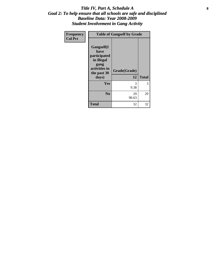#### Title IV, Part A, Schedule A **8** *Goal 2: To help ensure that all schools are safe and disciplined Baseline Data: Year 2008-2009 Student Involvement in Gang Activity*

| Frequency      |                                                                                                   | <b>Table of Gangself by Grade</b> |              |
|----------------|---------------------------------------------------------------------------------------------------|-----------------------------------|--------------|
| <b>Col Pct</b> | Gangself(I<br>have<br>participated<br>in illegal<br>gang<br>activities in<br>the past 30<br>days) | Grade(Grade)<br>12                | <b>Total</b> |
|                | Yes                                                                                               | 3<br>9.38                         | 3            |
|                | N <sub>0</sub>                                                                                    | 29<br>90.63                       | 29           |
|                | <b>Total</b>                                                                                      | 32                                | 32           |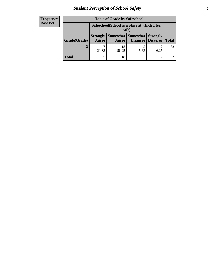# *Student Perception of School Safety* **9**

| <b>Frequency</b><br>Row Pct |
|-----------------------------|
|                             |

| <b>Table of Grade by Safeschool</b> |                                                        |             |                     |                                        |              |
|-------------------------------------|--------------------------------------------------------|-------------|---------------------|----------------------------------------|--------------|
|                                     | Safeschool (School is a place at which I feel<br>safe) |             |                     |                                        |              |
| Grade(Grade)                        | <b>Strongly</b><br>Agree                               | Agree       | Somewhat   Somewhat | <b>Strongly</b><br>Disagree   Disagree | <b>Total</b> |
| 12                                  | 21.88                                                  | 18<br>56.25 | 15.63               | 6.25                                   | 32           |
| <b>Total</b>                        |                                                        | 18          |                     | 2                                      | 32           |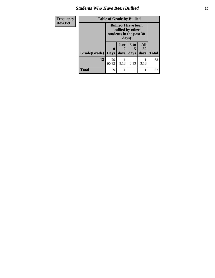#### *Students Who Have Been Bullied* **10**

| <b>Frequency</b> | <b>Table of Grade by Bullied</b> |                                                                                     |                   |                              |                   |              |
|------------------|----------------------------------|-------------------------------------------------------------------------------------|-------------------|------------------------------|-------------------|--------------|
| <b>Row Pct</b>   |                                  | <b>Bullied</b> (I have been<br>bullied by other<br>students in the past 30<br>days) |                   |                              |                   |              |
|                  | Grade(Grade)   Days              | 0                                                                                   | 1 or<br>2<br>days | 3 <sub>to</sub><br>5<br>days | All<br>30<br>days | <b>Total</b> |
|                  | 12                               | 29<br>90.63                                                                         | 3.13              | 3.13                         | 3.13              | 32           |
|                  | <b>Total</b>                     | 29                                                                                  |                   |                              |                   | 32           |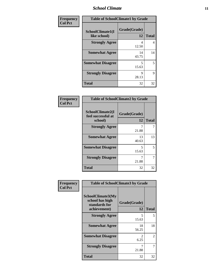#### *School Climate* **11**

| Frequency      | <b>Table of SchoolClimate1 by Grade</b> |                    |              |  |
|----------------|-----------------------------------------|--------------------|--------------|--|
| <b>Col Pct</b> | SchoolClimate1(I<br>like school)        | Grade(Grade)<br>12 | <b>Total</b> |  |
|                | <b>Strongly Agree</b>                   | 4<br>12.50         | 4            |  |
|                | <b>Somewhat Agree</b>                   | 14<br>43.75        | 14           |  |
|                | <b>Somewhat Disagree</b>                | 5<br>15.63         | 5            |  |
|                | <b>Strongly Disagree</b>                | 9<br>28.13         | 9            |  |
|                | <b>Total</b>                            | 32                 | 32           |  |

| <b>Table of SchoolClimate2 by Grade</b>           |                    |              |  |  |
|---------------------------------------------------|--------------------|--------------|--|--|
| SchoolClimate2(I<br>feel successful at<br>school) | Grade(Grade)<br>12 | <b>Total</b> |  |  |
| <b>Strongly Agree</b>                             | 7<br>21.88         | 7            |  |  |
| <b>Somewhat Agree</b>                             | 13<br>40.63        | 13           |  |  |
| <b>Somewhat Disagree</b>                          | 5<br>15.63         | 5            |  |  |
| <b>Strongly Disagree</b>                          | 7<br>21.88         |              |  |  |
| <b>Total</b>                                      | 32                 | 32           |  |  |

| <b>Frequency</b> | <b>Table of SchoolClimate3 by Grade</b>                               |                    |              |  |
|------------------|-----------------------------------------------------------------------|--------------------|--------------|--|
| <b>Col Pct</b>   | SchoolClimate3(My<br>school has high<br>standards for<br>achievement) | Grade(Grade)<br>12 | <b>Total</b> |  |
|                  | <b>Strongly Agree</b>                                                 | 5<br>15.63         | 5            |  |
|                  | <b>Somewhat Agree</b>                                                 | 18<br>56.25        | 18           |  |
|                  | <b>Somewhat Disagree</b>                                              | 2<br>6.25          | 2            |  |
|                  | <b>Strongly Disagree</b>                                              | 7<br>21.88         | 7            |  |
|                  | <b>Total</b>                                                          | 32                 | 32           |  |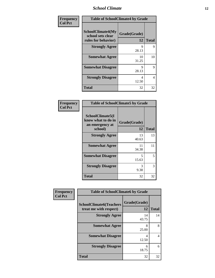#### *School Climate* **12**

| Frequency      | <b>Table of SchoolClimate4 by Grade</b>                              |                    |              |
|----------------|----------------------------------------------------------------------|--------------------|--------------|
| <b>Col Pct</b> | <b>SchoolClimate4(My</b><br>school sets clear<br>rules for behavior) | Grade(Grade)<br>12 | <b>Total</b> |
|                | <b>Strongly Agree</b>                                                | 9<br>28.13         | 9            |
|                | <b>Somewhat Agree</b>                                                | 10<br>31.25        | 10           |
|                | <b>Somewhat Disagree</b>                                             | 9<br>28.13         | 9            |
|                | <b>Strongly Disagree</b>                                             | 4<br>12.50         | 4            |
|                | <b>Total</b>                                                         | 32                 | 32           |

| <b>Table of SchoolClimate5 by Grade</b>                              |                    |              |  |
|----------------------------------------------------------------------|--------------------|--------------|--|
| SchoolClimate5(I<br>know what to do in<br>an emergency at<br>school) | Grade(Grade)<br>12 | <b>Total</b> |  |
| <b>Strongly Agree</b>                                                | 13<br>40.63        | 13           |  |
| <b>Somewhat Agree</b>                                                | 11<br>34.38        | 11           |  |
| <b>Somewhat Disagree</b>                                             | 5<br>15.63         | 5            |  |
| <b>Strongly Disagree</b>                                             | 3<br>9.38          | 3            |  |
| Total                                                                | 32                 | 32           |  |

| Frequency      | <b>Table of SchoolClimate6 by Grade</b>                  |                    |              |
|----------------|----------------------------------------------------------|--------------------|--------------|
| <b>Col Pct</b> | <b>SchoolClimate6(Teachers</b><br>treat me with respect) | Grade(Grade)<br>12 | <b>Total</b> |
|                | <b>Strongly Agree</b>                                    | 14<br>43.75        | 14           |
|                | <b>Somewhat Agree</b>                                    | 8<br>25.00         | 8            |
|                | <b>Somewhat Disagree</b>                                 | 4<br>12.50         | 4            |
|                | <b>Strongly Disagree</b>                                 | 6<br>18.75         | 6            |
|                | <b>Total</b>                                             | 32                 | 32           |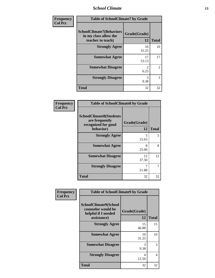*School Climate* **13**

| <b>Frequency</b> | <b>Table of SchoolClimate7 by Grade</b>                                       |                                                                                                                                                                         |                |
|------------------|-------------------------------------------------------------------------------|-------------------------------------------------------------------------------------------------------------------------------------------------------------------------|----------------|
| <b>Col Pct</b>   | <b>SchoolClimate7(Behaviors</b><br>in my class allow the<br>teacher to teach) | Grade(Grade)<br>12                                                                                                                                                      | <b>Total</b>   |
|                  | <b>Strongly Agree</b>                                                         | 10<br>31.25                                                                                                                                                             | 10             |
|                  | <b>Somewhat Agree</b>                                                         | 17<br>53.13                                                                                                                                                             | 17             |
|                  | <b>Somewhat Disagree</b>                                                      | $\mathcal{D}_{\mathcal{A}}^{\mathcal{A}}(\mathcal{A})=\mathcal{D}_{\mathcal{A}}^{\mathcal{A}}(\mathcal{A})\mathcal{D}_{\mathcal{A}}^{\mathcal{A}}(\mathcal{A})$<br>6.25 | $\mathfrak{D}$ |
|                  | <b>Strongly Disagree</b>                                                      | 3<br>9.38                                                                                                                                                               | 3              |
|                  | <b>Total</b>                                                                  | 32                                                                                                                                                                      | 32             |

| Frequency      | <b>Table of SchoolClimate8 by Grade</b>                                              |                    |              |
|----------------|--------------------------------------------------------------------------------------|--------------------|--------------|
| <b>Col Pct</b> | <b>SchoolClimate8(Students</b><br>are frequently<br>recognized for good<br>behavior) | Grade(Grade)<br>12 | <b>Total</b> |
|                | <b>Strongly Agree</b>                                                                | 5<br>15.63         | 5            |
|                | <b>Somewhat Agree</b>                                                                | 8<br>25.00         | 8            |
|                | <b>Somewhat Disagree</b>                                                             | 12<br>37.50        | 12           |
|                | <b>Strongly Disagree</b>                                                             | 21.88              | 7            |
|                | Total                                                                                | 32                 | 32           |

| Frequency<br><b>Col Pct</b> | <b>Table of SchoolClimate9 by Grade</b>                                           |                    |              |
|-----------------------------|-----------------------------------------------------------------------------------|--------------------|--------------|
|                             | SchoolClimate9(School<br>counselor would be<br>helpful if I needed<br>assistance) | Grade(Grade)<br>12 | <b>Total</b> |
|                             | <b>Strongly Agree</b>                                                             | 15<br>46.88        | 15           |
|                             | <b>Somewhat Agree</b>                                                             | 10<br>31.25        | 10           |
|                             | <b>Somewhat Disagree</b>                                                          | 3<br>9.38          | 3            |
|                             | <b>Strongly Disagree</b>                                                          | 4<br>12.50         | 4            |
|                             | Total                                                                             | 32                 | 32           |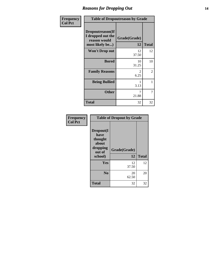### *Reasons for Dropping Out* **14**

| <b>Frequency</b> | <b>Table of Dropoutreason by Grade</b>                                   |                    |                |
|------------------|--------------------------------------------------------------------------|--------------------|----------------|
| <b>Col Pct</b>   | Dropoutreason(If<br>I dropped out the<br>reason would<br>most likely be) | Grade(Grade)<br>12 | <b>Total</b>   |
|                  | <b>Won't Drop out</b>                                                    | 12<br>37.50        | 12             |
|                  | <b>Bored</b>                                                             | 10<br>31.25        | 10             |
|                  | <b>Family Reasons</b>                                                    | 2<br>6.25          | 2              |
|                  | <b>Being Bullied</b>                                                     | 3.13               | 1              |
|                  | <b>Other</b>                                                             | 21.88              | $\overline{7}$ |
|                  | <b>Total</b>                                                             | 32                 | 32             |

| Frequency      | <b>Table of Dropout by Grade</b>                                       |                    |              |
|----------------|------------------------------------------------------------------------|--------------------|--------------|
| <b>Col Pct</b> | Dropout(I<br>have<br>thought<br>about<br>dropping<br>out of<br>school) | Grade(Grade)<br>12 | <b>Total</b> |
|                | Yes                                                                    | 12<br>37.50        | 12           |
|                | N <sub>0</sub>                                                         | 20<br>62.50        | 20           |
|                | <b>Total</b>                                                           | 32                 | 32           |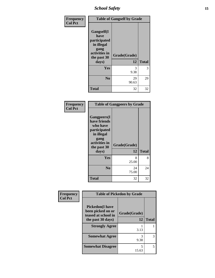### *School Safety* **15**

| Frequency      |                                                                                          | <b>Table of Gangself by Grade</b> |              |
|----------------|------------------------------------------------------------------------------------------|-----------------------------------|--------------|
| <b>Col Pct</b> | Gangself(I<br>have<br>participated<br>in illegal<br>gang<br>activities in<br>the past 30 | Grade(Grade)                      |              |
|                | days)                                                                                    | 12                                | <b>Total</b> |
|                | Yes                                                                                      | 3<br>9.38                         | 3            |
|                | No                                                                                       | 29<br>90.63                       | 29           |
|                | <b>Total</b>                                                                             | 32                                | 32           |

| Frequency<br><b>Col Pct</b> |                                                                                                                                | <b>Table of Gangpeers by Grade</b> |              |
|-----------------------------|--------------------------------------------------------------------------------------------------------------------------------|------------------------------------|--------------|
|                             | <b>Gangpeers</b> (I<br>have friends<br>who have<br>participated<br>in illegal<br>gang<br>activities in<br>the past 30<br>days) | Grade(Grade)<br>12                 | <b>Total</b> |
|                             |                                                                                                                                |                                    |              |
|                             | Yes                                                                                                                            | 8<br>25.00                         | 8            |
|                             | N <sub>0</sub>                                                                                                                 | 24<br>75.00                        | 24           |
|                             | <b>Total</b>                                                                                                                   | 32                                 | 32           |

| Frequency      | <b>Table of Pickedon by Grade</b>                                   |              |              |
|----------------|---------------------------------------------------------------------|--------------|--------------|
| <b>Col Pct</b> | <b>Pickedon</b> (I have<br>been picked on or<br>teased at school in | Grade(Grade) |              |
|                | the past 30 days)                                                   | 12           | <b>Total</b> |
|                | <b>Strongly Agree</b>                                               | 3.13         |              |
|                | <b>Somewhat Agree</b>                                               | 3<br>9.38    |              |
|                | <b>Somewhat Disagree</b>                                            | 5<br>15.63   |              |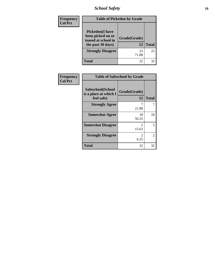*School Safety* **16**

| <b>Frequency</b> | <b>Table of Pickedon by Grade</b>                                                        |                    |              |
|------------------|------------------------------------------------------------------------------------------|--------------------|--------------|
| <b>Col Pct</b>   | <b>Pickedon</b> (I have<br>been picked on or<br>teased at school in<br>the past 30 days) | Grade(Grade)<br>12 | <b>Total</b> |
|                  | <b>Strongly Disagree</b>                                                                 | 23<br>71.88        | 23           |
|                  | <b>Total</b>                                                                             | 32                 | 32           |

| Frequency      | <b>Table of Safeschool by Grade</b>                      |                    |              |  |  |  |
|----------------|----------------------------------------------------------|--------------------|--------------|--|--|--|
| <b>Col Pct</b> | Safeschool(School<br>is a place at which I<br>feel safe) | Grade(Grade)<br>12 | <b>Total</b> |  |  |  |
|                | <b>Strongly Agree</b>                                    | 21.88              | 7            |  |  |  |
|                | <b>Somewhat Agree</b>                                    | 18<br>56.25        | 18           |  |  |  |
|                | <b>Somewhat Disagree</b>                                 | 5<br>15.63         | 5            |  |  |  |
|                | <b>Strongly Disagree</b>                                 | 2<br>6.25          | 2            |  |  |  |
|                | <b>Total</b>                                             | 32                 | 32           |  |  |  |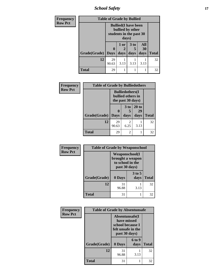*School Safety* **17**

| <b>Frequency</b> | <b>Table of Grade by Bullied</b> |             |                                                                                     |      |      |              |  |
|------------------|----------------------------------|-------------|-------------------------------------------------------------------------------------|------|------|--------------|--|
| <b>Row Pct</b>   |                                  |             | <b>Bullied</b> (I have been<br>bullied by other<br>students in the past 30<br>days) |      |      |              |  |
|                  |                                  |             | 3 <sub>to</sub><br>All<br>1 or<br>30<br>2<br>5                                      |      |      |              |  |
|                  | Grade(Grade)                     | <b>Days</b> | days<br>days<br>days                                                                |      |      | <b>Total</b> |  |
|                  | 12                               | 29<br>90.63 | 3.13                                                                                | 3.13 | 3.13 | 32           |  |
|                  | <b>Total</b>                     | 29          |                                                                                     |      |      | 32           |  |

| Frequency      | <b>Table of Grade by Bulliedothers</b> |                  |                                                                   |      |    |  |
|----------------|----------------------------------------|------------------|-------------------------------------------------------------------|------|----|--|
| <b>Row Pct</b> |                                        |                  | <b>Bulliedothers</b> (I<br>bullied others in<br>the past 30 days) |      |    |  |
|                | Grade(Grade)                           | 0<br><b>Days</b> | 20 to<br>3 <sub>to</sub><br>29<br>days<br>days                    |      |    |  |
|                | 12                                     | 29<br>90.63      | 2<br>6.25                                                         | 3.13 | 32 |  |
|                | <b>Total</b>                           | 29               | $\mathfrak{D}$                                                    |      | 32 |  |

| Frequency      | <b>Table of Grade by Weaponschool</b> |                                                   |                                                                                 |              |  |  |
|----------------|---------------------------------------|---------------------------------------------------|---------------------------------------------------------------------------------|--------------|--|--|
| <b>Row Pct</b> |                                       |                                                   | <b>Weaponschool</b> (I<br>brought a weapon<br>to school in the<br>past 30 days) |              |  |  |
|                | Grade(Grade)                          | $3$ to 5<br>0 Days<br>days<br>31<br>96.88<br>3.13 |                                                                                 | <b>Total</b> |  |  |
|                | 12                                    |                                                   |                                                                                 | 32           |  |  |
|                | <b>Total</b>                          | 31                                                |                                                                                 | 32           |  |  |

| <b>Frequency</b> | <b>Table of Grade by Absentunsafe</b> |                                                                                           |  |              |  |  |
|------------------|---------------------------------------|-------------------------------------------------------------------------------------------|--|--------------|--|--|
| <b>Row Pct</b>   |                                       | Absentunsafe(I)<br>have missed<br>school because I<br>felt unsafe in the<br>past 30 days) |  |              |  |  |
|                  | Grade(Grade)                          | 6 to 9<br>0 Days<br>days<br>31<br>3.13<br>96.88                                           |  | <b>Total</b> |  |  |
|                  | 12                                    |                                                                                           |  | 32           |  |  |
|                  | Total                                 | 31                                                                                        |  | 32           |  |  |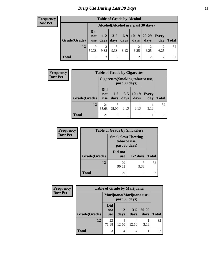# *Drug Use During Last 30 Days* **18**

#### **Frequency Row Pct**

| <b>Table of Grade by Alcohol</b> |                          |                                                                                                                             |           |      |                |                                    |      |    |
|----------------------------------|--------------------------|-----------------------------------------------------------------------------------------------------------------------------|-----------|------|----------------|------------------------------------|------|----|
|                                  |                          |                                                                                                                             |           |      |                | Alcohol(Alcohol use, past 30 days) |      |    |
| Grade(Grade)                     | Did<br>not<br><b>use</b> | $6-9$<br>$10-19$<br>$20 - 29$<br>$1 - 2$<br>$3 - 5$<br>Every<br>days<br>days<br>days<br>days<br>day<br><b>Total</b><br>days |           |      |                |                                    |      |    |
| 12                               | 19<br>59.38              | 3<br>9.38                                                                                                                   | 3<br>9.38 | 3.13 | 2<br>6.25      | 6.25                               | 6.25 | 32 |
| <b>Total</b>                     | 19                       | 3                                                                                                                           | 3         |      | $\overline{2}$ | 2                                  | 2    | 32 |

| <b>Frequency</b> | <b>Table of Grade by Cigarettes</b> |                                                   |               |      |                       |                     |              |
|------------------|-------------------------------------|---------------------------------------------------|---------------|------|-----------------------|---------------------|--------------|
| <b>Row Pct</b>   |                                     | Cigarettes (Smoking tobacco use,<br>past 30 days) |               |      |                       |                     |              |
|                  | Grade(Grade)                        | Did<br>not<br><b>use</b>                          | $1-2$<br>days | days | $3-5$   10-19<br>days | <b>Every</b><br>day | <b>Total</b> |
|                  | 12                                  | 21<br>65.63                                       | 8<br>25.00    | 3.13 | 3.13                  | 3.13                | 32           |
|                  | <b>Total</b>                        | 21                                                | 8             |      |                       |                     | 32           |

| Frequency      |              | <b>Table of Grade by Smokeless</b>                         |            |              |
|----------------|--------------|------------------------------------------------------------|------------|--------------|
| <b>Row Pct</b> |              | <b>Smokeless</b> (Chewing<br>tobacco use,<br>past 30 days) |            |              |
|                | Grade(Grade) | Did not<br><b>use</b>                                      | $1-2$ days | <b>Total</b> |
|                | 12           | 29<br>90.63                                                | 3<br>9.38  | 32           |
|                | <b>Total</b> | 29                                                         | 3          | 32           |

| <b>Frequency</b> | <b>Table of Grade by Marijuana</b> |                          |                                            |                 |                   |              |
|------------------|------------------------------------|--------------------------|--------------------------------------------|-----------------|-------------------|--------------|
| <b>Row Pct</b>   |                                    |                          | Marijuana (Marijuana use,<br>past 30 days) |                 |                   |              |
|                  | Grade(Grade)                       | Did<br>not<br><b>use</b> | $1 - 2$<br>days                            | $3 - 5$<br>days | $20 - 29$<br>days | <b>Total</b> |
|                  | 12                                 | 23<br>71.88              | 4<br>12.50                                 | 4<br>12.50      | 3.13              | 32           |
|                  | <b>Total</b>                       | 23                       | 4                                          | $\overline{4}$  |                   | 32           |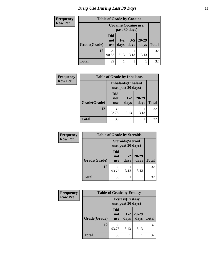# *Drug Use During Last 30 Days* **19**

| Frequency      | <b>Table of Grade by Cocaine</b> |                          |                                        |                 |                   |              |
|----------------|----------------------------------|--------------------------|----------------------------------------|-----------------|-------------------|--------------|
| <b>Row Pct</b> |                                  |                          | Cocaine (Cocaine use,<br>past 30 days) |                 |                   |              |
|                | Grade(Grade)                     | Did<br>not<br><b>use</b> | $1-2$<br>days                          | $3 - 5$<br>days | $20 - 29$<br>days | <b>Total</b> |
|                | 12                               | 29<br>90.63              | 3.13                                   | 3.13            | 3.13              | 32           |
|                | <b>Total</b>                     | 29                       |                                        |                 |                   | 32           |

| <b>Frequency</b> | <b>Table of Grade by Inhalants</b> |                                                  |                 |                   |              |  |  |
|------------------|------------------------------------|--------------------------------------------------|-----------------|-------------------|--------------|--|--|
| <b>Row Pct</b>   |                                    | <b>Inhalants</b> (Inhalant<br>use, past 30 days) |                 |                   |              |  |  |
|                  | Grade(Grade)                       | Did<br>not<br><b>use</b>                         | $1 - 2$<br>days | $20 - 29$<br>days | <b>Total</b> |  |  |
|                  | 12                                 | 30<br>93.75                                      | 3.13            | 3.13              | 32           |  |  |
|                  | Total                              | 30                                               |                 |                   | 32           |  |  |

| Frequency      | <b>Table of Grade by Steroids</b> |                          |                                                |                   |              |
|----------------|-----------------------------------|--------------------------|------------------------------------------------|-------------------|--------------|
| <b>Row Pct</b> |                                   |                          | <b>Steroids</b> (Steroid<br>use, past 30 days) |                   |              |
|                | Grade(Grade)                      | Did<br>not<br><b>use</b> | $1-2$<br>days                                  | $20 - 29$<br>days | <b>Total</b> |
|                | 12                                | 30<br>93.75              | 3.13                                           | 3.13              | 32           |
|                | <b>Total</b>                      | 30                       |                                                |                   | 32           |

| <b>Frequency</b> | <b>Table of Grade by Ecstasy</b> |                          |                                               |                   |              |
|------------------|----------------------------------|--------------------------|-----------------------------------------------|-------------------|--------------|
| <b>Row Pct</b>   |                                  |                          | <b>Ecstasy</b> (Ecstasy<br>use, past 30 days) |                   |              |
|                  | Grade(Grade)                     | Did<br>not<br><b>use</b> | $1-2$<br>days                                 | $20 - 29$<br>days | <b>Total</b> |
|                  | 12                               | 30<br>93.75              | 3.13                                          | 3.13              | 32           |
|                  | <b>Total</b>                     | 30                       |                                               |                   | 32           |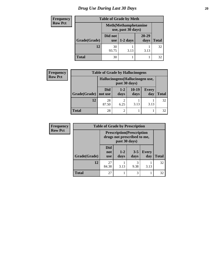# *Drug Use During Last 30 Days* 20

| <b>Frequency</b> | <b>Table of Grade by Meth</b> |                                                    |            |               |              |  |
|------------------|-------------------------------|----------------------------------------------------|------------|---------------|--------------|--|
| <b>Row Pct</b>   |                               | <b>Meth</b> (Methamphetamine<br>use, past 30 days) |            |               |              |  |
|                  | Grade(Grade)                  | Did not<br><b>use</b>                              | $1-2$ days | 20-29<br>days | <b>Total</b> |  |
|                  | 12                            | 30<br>93.75                                        | 3.13       | 3.13          | 32           |  |
|                  | <b>Total</b>                  | 30                                                 |            |               | 32           |  |

| <b>Frequency</b> | <b>Table of Grade by Hallucinogens</b> |                                                   |               |                 |                     |       |
|------------------|----------------------------------------|---------------------------------------------------|---------------|-----------------|---------------------|-------|
| <b>Row Pct</b>   |                                        | Hallucinogens (Hallucinogen use,<br>past 30 days) |               |                 |                     |       |
|                  | Grade(Grade)                           | Did<br>not use                                    | $1-2$<br>days | $10-19$<br>days | <b>Every</b><br>day | Total |
|                  | 12                                     | 28<br>87.50                                       | 6.25          | 3.13            | 3.13                | 32    |
|                  | Total                                  | 28                                                | റ             |                 |                     | 32    |

| <b>Frequency</b> | <b>Table of Grade by Prescription</b> |                                                                                   |                 |                 |                     |       |
|------------------|---------------------------------------|-----------------------------------------------------------------------------------|-----------------|-----------------|---------------------|-------|
| <b>Row Pct</b>   |                                       | <b>Prescription</b> (Prescription<br>drugs not prescribed to me,<br>past 30 days) |                 |                 |                     |       |
|                  | Grade(Grade)                          | <b>Did</b><br>not<br><b>use</b>                                                   | $1 - 2$<br>days | $3 - 5$<br>days | <b>Every</b><br>day | Total |
|                  | 12                                    | 27<br>84.38                                                                       | 3.13            | 3<br>9.38       | 3.13                | 32    |
|                  | <b>Total</b>                          | 27                                                                                |                 | 3               |                     | 32    |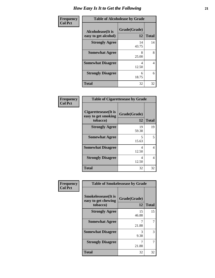| Frequency      | <b>Table of Alcoholease by Grade</b>              |                    |                |  |
|----------------|---------------------------------------------------|--------------------|----------------|--|
| <b>Col Pct</b> | <b>Alcoholease</b> (It is<br>easy to get alcohol) | Grade(Grade)<br>12 | <b>Total</b>   |  |
|                | <b>Strongly Agree</b>                             | 14<br>43.75        | 14             |  |
|                | <b>Somewhat Agree</b>                             | 8<br>25.00         | 8              |  |
|                | <b>Somewhat Disagree</b>                          | 4<br>12.50         | $\overline{4}$ |  |
|                | <b>Strongly Disagree</b>                          | 6<br>18.75         | 6              |  |
|                | <b>Total</b>                                      | 32                 | 32             |  |

| Frequency<br>Col Pct |
|----------------------|

|                                                         | <b>Table of Cigarettesease by Grade</b> |              |  |  |  |
|---------------------------------------------------------|-----------------------------------------|--------------|--|--|--|
| Cigarettesease(It is<br>easy to get smoking<br>tobacco) | Grade(Grade)<br>12                      | <b>Total</b> |  |  |  |
| <b>Strongly Agree</b>                                   | 19<br>59.38                             | 19           |  |  |  |
| <b>Somewhat Agree</b>                                   | 5<br>15.63                              | 5            |  |  |  |
| <b>Somewhat Disagree</b>                                | 4<br>12.50                              | 4            |  |  |  |
| <b>Strongly Disagree</b>                                | 4<br>12.50                              | 4            |  |  |  |
| <b>Total</b>                                            | 32                                      | 32           |  |  |  |

| <b>Frequency</b> | <b>Table of Smokelessease by Grade</b>                         |                    |              |
|------------------|----------------------------------------------------------------|--------------------|--------------|
| <b>Col Pct</b>   | <b>Smokelessease</b> (It is<br>easy to get chewing<br>tobacco) | Grade(Grade)<br>12 | <b>Total</b> |
|                  | <b>Strongly Agree</b>                                          | 15<br>46.88        | 15           |
|                  | <b>Somewhat Agree</b>                                          | 21.88              |              |
|                  | <b>Somewhat Disagree</b>                                       | 3<br>9.38          | 3            |
|                  | <b>Strongly Disagree</b>                                       | 7<br>21.88         |              |
|                  | <b>Total</b>                                                   | 32                 | 32           |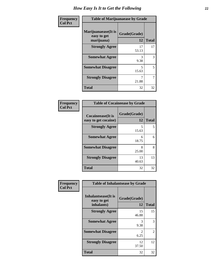| Frequency      | <b>Table of Marijuanaease by Grade</b>            |                    |              |  |
|----------------|---------------------------------------------------|--------------------|--------------|--|
| <b>Col Pct</b> | Marijuanaease (It is<br>easy to get<br>marijuana) | Grade(Grade)<br>12 | <b>Total</b> |  |
|                | <b>Strongly Agree</b>                             | 17<br>53.13        | 17           |  |
|                | <b>Somewhat Agree</b>                             | 3<br>9.38          | 3            |  |
|                | <b>Somewhat Disagree</b>                          | 5<br>15.63         | 5            |  |
|                | <b>Strongly Disagree</b>                          | 21.88              | 7            |  |
|                | <b>Total</b>                                      | 32                 | 32           |  |

|                                           | <b>Table of Cocaineease by Grade</b> |              |  |  |  |
|-------------------------------------------|--------------------------------------|--------------|--|--|--|
| Cocaineease(It is<br>easy to get cocaine) | Grade(Grade)<br>12                   | <b>Total</b> |  |  |  |
| <b>Strongly Agree</b>                     | 5<br>15.63                           | 5            |  |  |  |
| <b>Somewhat Agree</b>                     | 6<br>18.75                           | 6            |  |  |  |
| <b>Somewhat Disagree</b>                  | 8<br>25.00                           | 8            |  |  |  |
| <b>Strongly Disagree</b>                  | 13<br>40.63                          | 13           |  |  |  |
| <b>Total</b>                              | 32                                   | 32           |  |  |  |

| Frequency      | <b>Table of Inhalantsease by Grade</b>           |                       |              |  |
|----------------|--------------------------------------------------|-----------------------|--------------|--|
| <b>Col Pct</b> | Inhalantsease(It is<br>easy to get<br>inhalants) | Grade(Grade)<br>12    | <b>Total</b> |  |
|                | <b>Strongly Agree</b>                            | 15<br>46.88           | 15           |  |
|                | <b>Somewhat Agree</b>                            | 3<br>9.38             | 3            |  |
|                | <b>Somewhat Disagree</b>                         | $\mathcal{L}$<br>6.25 | 2            |  |
|                | <b>Strongly Disagree</b>                         | 12<br>37.50           | 12           |  |
|                | <b>Total</b>                                     | 32                    | 32           |  |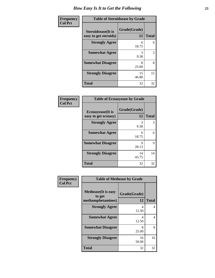| Frequency      | <b>Table of Steroidsease by Grade</b>               |                    |              |  |
|----------------|-----------------------------------------------------|--------------------|--------------|--|
| <b>Col Pct</b> | <b>Steroidsease</b> (It is<br>easy to get steroids) | Grade(Grade)<br>12 | <b>Total</b> |  |
|                | <b>Strongly Agree</b>                               | 6<br>18.75         | 6            |  |
|                | <b>Somewhat Agree</b>                               | 3<br>9.38          | 3            |  |
|                | <b>Somewhat Disagree</b>                            | 8<br>25.00         | 8            |  |
|                | <b>Strongly Disagree</b>                            | 15<br>46.88        | 15           |  |
|                | <b>Total</b>                                        | 32                 | 32           |  |

| <b>Frequency</b> |  |
|------------------|--|
| Col Pct          |  |

| <b>Table of Ecstasyease by Grade</b> |              |              |  |  |  |  |
|--------------------------------------|--------------|--------------|--|--|--|--|
| <b>Ecstasyease</b> (It is            | Grade(Grade) |              |  |  |  |  |
| easy to get ecstasy)                 | 12           | <b>Total</b> |  |  |  |  |
| <b>Strongly Agree</b>                | 3<br>9.38    | 3            |  |  |  |  |
| <b>Somewhat Agree</b>                | 6<br>18.75   | 6            |  |  |  |  |
| <b>Somewhat Disagree</b>             | Q<br>28.13   | 9            |  |  |  |  |
| <b>Strongly Disagree</b>             | 14<br>43.75  | 14           |  |  |  |  |
| <b>Total</b>                         | 32           | 32           |  |  |  |  |

| <b>Frequency</b> |
|------------------|
| <b>Col Pct</b>   |

| <b>Table of Methease by Grade</b>                          |                    |              |  |  |  |  |
|------------------------------------------------------------|--------------------|--------------|--|--|--|--|
| <b>Methease</b> (It is easy<br>to get<br>methamphetamines) | Grade(Grade)<br>12 | <b>Total</b> |  |  |  |  |
| <b>Strongly Agree</b>                                      | 4<br>12.50         |              |  |  |  |  |
| <b>Somewhat Agree</b>                                      | 4<br>12.50         |              |  |  |  |  |
| <b>Somewhat Disagree</b>                                   | 8<br>25.00         | 8            |  |  |  |  |
| <b>Strongly Disagree</b>                                   | 16<br>50.00        | 16           |  |  |  |  |
| <b>Total</b>                                               | 32                 | 32           |  |  |  |  |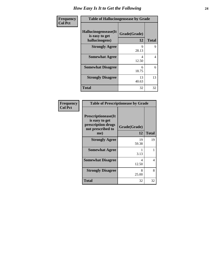| Frequency      | <b>Table of Hallucinogensease by Grade</b>               |                    |              |  |  |  |
|----------------|----------------------------------------------------------|--------------------|--------------|--|--|--|
| <b>Col Pct</b> | Hallucinogensease(It<br>is easy to get<br>hallucinogens) | Grade(Grade)<br>12 | <b>Total</b> |  |  |  |
|                | <b>Strongly Agree</b>                                    | 9<br>28.13         | 9            |  |  |  |
|                | <b>Somewhat Agree</b>                                    | 4<br>12.50         | 4            |  |  |  |
|                | <b>Somewhat Disagree</b>                                 | 6<br>18.75         | 6            |  |  |  |
|                | <b>Strongly Disagree</b>                                 | 13<br>40.63        | 13           |  |  |  |
|                | <b>Total</b>                                             | 32                 | 32           |  |  |  |

| <b>Table of Prescriptionease by Grade</b>                                                       |                    |              |  |  |  |  |
|-------------------------------------------------------------------------------------------------|--------------------|--------------|--|--|--|--|
| <b>Prescriptionease</b> (It<br>is easy to get<br>prescription drugs<br>not prescribed to<br>me) | Grade(Grade)<br>12 | <b>Total</b> |  |  |  |  |
| <b>Strongly Agree</b>                                                                           | 19<br>59.38        | 19           |  |  |  |  |
| <b>Somewhat Agree</b>                                                                           | 1<br>3.13          | 1            |  |  |  |  |
| <b>Somewhat Disagree</b>                                                                        | 4<br>12.50         | 4            |  |  |  |  |
| <b>Strongly Disagree</b>                                                                        | 8<br>25.00         | 8            |  |  |  |  |
| Total                                                                                           | 32                 | 32           |  |  |  |  |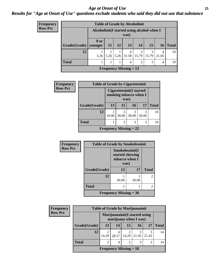#### *Age at Onset of Use* **25**

### *Results for "Age at Onset of Use" questions exclude students who said they did not use that substance*

| Frequency |
|-----------|
| Row Pct   |

| <b>Table of Grade by Alcoholinit</b> |                                                                                                         |      |      |                    |   |            |            |    |
|--------------------------------------|---------------------------------------------------------------------------------------------------------|------|------|--------------------|---|------------|------------|----|
|                                      | Alcoholinit (I started using alcohol when I<br>was)                                                     |      |      |                    |   |            |            |    |
|                                      | 8 or<br>12<br><b>11</b><br>13<br>15<br>Grade(Grade)<br>14<br><b>Total</b><br>16 <sup>1</sup><br>younger |      |      |                    |   |            |            |    |
| 12                                   | 5.26                                                                                                    | 5.26 | 5.26 | 6<br>$31.58$ 15.79 | 3 | 3<br>15.79 | 4<br>21.05 | 19 |
| <b>Total</b>                         |                                                                                                         |      |      | 6                  | 3 | 3          | 4          | 19 |
| <b>Frequency Missing = 13</b>        |                                                                                                         |      |      |                    |   |            |            |    |

| <b>Frequency</b> | <b>Table of Grade by Cigarettesinit</b> |                                                    |            |                          |            |              |  |  |
|------------------|-----------------------------------------|----------------------------------------------------|------------|--------------------------|------------|--------------|--|--|
| <b>Row Pct</b>   |                                         | Cigarettesinit(I started<br>smoking tobacco when I |            |                          |            |              |  |  |
|                  | Grade(Grade)                            | 13                                                 | 15         | 16                       | 17         | <b>Total</b> |  |  |
|                  | 12                                      | 10.00                                              | 3<br>30.00 | 3<br>30.00               | 3<br>30.00 | 10           |  |  |
|                  | <b>Total</b>                            |                                                    | 3          | 3                        | 3          |              |  |  |
|                  |                                         |                                                    |            | Frequency Missing $= 22$ |            |              |  |  |

| Frequency      | <b>Table of Grade by Smokelessinit</b> |                                                              |              |                |  |  |
|----------------|----------------------------------------|--------------------------------------------------------------|--------------|----------------|--|--|
| <b>Row Pct</b> |                                        | Smokelessinit(I<br>started chewing<br>tobacco when I<br>was) |              |                |  |  |
|                | Grade(Grade)                           | 13                                                           | <b>Total</b> |                |  |  |
|                | 12                                     | 50.00                                                        | 50.00        | $\overline{c}$ |  |  |
|                | <b>Total</b>                           |                                                              |              | 2              |  |  |
|                |                                        | <b>Frequency Missing = 30</b>                                |              |                |  |  |

| <b>Frequency</b> | <b>Table of Grade by Marijuanainit</b> |                |                                                        |       |            |       |              |  |
|------------------|----------------------------------------|----------------|--------------------------------------------------------|-------|------------|-------|--------------|--|
| <b>Row Pct</b>   |                                        |                | Marijuanainit(I started using<br>marijuana when I was) |       |            |       |              |  |
|                  | Grade(Grade)                           | 13             | 14                                                     | 15    | 16         | 17    | <b>Total</b> |  |
|                  | 12                                     | 14.29          | 4<br>28.57                                             | 14.29 | 3<br>21.43 | 21.43 | 14           |  |
|                  | <b>Total</b>                           | $\overline{2}$ | 4                                                      | 2     | 3          | 3     | 14           |  |
|                  | <b>Frequency Missing = 18</b>          |                |                                                        |       |            |       |              |  |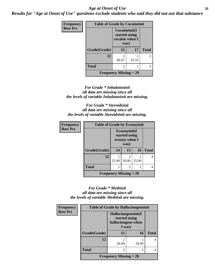#### *Age at Onset of Use* **26**

*Results for "Age at Onset of Use" questions exclude students who said they did not use that substance*

| Frequency      | <b>Table of Grade by Cocaineinit</b> |                                                          |              |   |  |  |
|----------------|--------------------------------------|----------------------------------------------------------|--------------|---|--|--|
| <b>Row Pct</b> |                                      | Cocaineinit(I<br>started using<br>cocaine when I<br>was) |              |   |  |  |
|                | Grade(Grade)                         | 15                                                       | <b>Total</b> |   |  |  |
|                | 12                                   | 2<br>66.67                                               | 33.33        | 3 |  |  |
|                | <b>Total</b>                         | 2                                                        |              | 3 |  |  |
|                |                                      | <b>Frequency Missing = 29</b>                            |              |   |  |  |

*For Grade \* Inhalantsinit all data are missing since all the levels of variable Inhalantsinit are missing.*

*For Grade \* Steroidsinit all data are missing since all the levels of variable Steroidsinit are missing.*

| <b>Frequency</b> | <b>Table of Grade by Ecstasyinit</b> |                                                          |                |       |              |
|------------------|--------------------------------------|----------------------------------------------------------|----------------|-------|--------------|
| <b>Row Pct</b>   |                                      | Ecstasyinit(I<br>started using<br>ecstasy when I<br>was) |                |       |              |
|                  | Grade(Grade)                         | 14                                                       | 15             | 16    | <b>Total</b> |
|                  | 12                                   | 25.00                                                    | 2<br>50.00     | 25.00 | 4            |
|                  | <b>Total</b>                         |                                                          | $\mathfrak{D}$ |       |              |
|                  | <b>Frequency Missing = 28</b>        |                                                          |                |       |              |

*For Grade \* Methinit all data are missing since all the levels of variable Methinit are missing.*

| Frequency      | <b>Table of Grade by Hallucinogensinit</b> |                                                                                                                                                                          |       |              |
|----------------|--------------------------------------------|--------------------------------------------------------------------------------------------------------------------------------------------------------------------------|-------|--------------|
| <b>Row Pct</b> |                                            | Hallucinogensinit(I<br>started using<br>hallucinogens when<br>I was)                                                                                                     |       |              |
|                | Grade(Grade)                               | 15                                                                                                                                                                       | 16    | <b>Total</b> |
|                | 12                                         | $\mathcal{D}_{\mathcal{A}}^{\mathcal{A}}(\mathcal{A})=\mathcal{D}_{\mathcal{A}}^{\mathcal{A}}(\mathcal{A})\mathcal{D}_{\mathcal{A}}^{\mathcal{A}}(\mathcal{A})$<br>50.00 | 50.00 | 4            |
|                | <b>Total</b>                               | 2                                                                                                                                                                        | 2     |              |
|                |                                            | Frequency Missing $= 28$                                                                                                                                                 |       |              |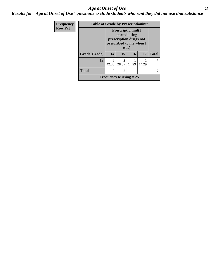#### *Age at Onset of Use* **27**

*Results for "Age at Onset of Use" questions exclude students who said they did not use that substance*

| Frequency      | <b>Table of Grade by Prescriptioninit</b> |                                                                                                  |                               |       |       |              |
|----------------|-------------------------------------------|--------------------------------------------------------------------------------------------------|-------------------------------|-------|-------|--------------|
| <b>Row Pct</b> |                                           | Prescriptioninit(I<br>started using<br>prescription drugs not<br>prescribed to me when I<br>was) |                               |       |       |              |
|                | Grade(Grade)                              | 14                                                                                               | 15                            | 16    | 17    | <b>Total</b> |
|                | 12                                        | 3<br>42.86                                                                                       | 2<br>28.57                    | 14.29 | 14.29 |              |
|                | <b>Total</b>                              | 3                                                                                                | $\mathfrak{D}$                |       |       |              |
|                |                                           |                                                                                                  | <b>Frequency Missing = 25</b> |       |       |              |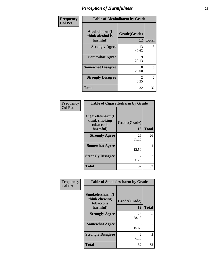| Frequency      | <b>Table of Alcoholharm by Grade</b>          |                        |              |  |
|----------------|-----------------------------------------------|------------------------|--------------|--|
| <b>Col Pct</b> | Alcoholharm(I<br>think alcohol is<br>harmful) | Grade(Grade)<br>12     | <b>Total</b> |  |
|                | <b>Strongly Agree</b>                         | 13<br>40.63            | 13           |  |
|                | <b>Somewhat Agree</b>                         | 9<br>28.13             | 9            |  |
|                | <b>Somewhat Disagree</b>                      | 8<br>25.00             | 8            |  |
|                | <b>Strongly Disagree</b>                      | $\mathfrak{D}$<br>6.25 | 2            |  |
|                | <b>Total</b>                                  | 32                     | 32           |  |

| <b>Table of Cigarettesharm by Grade</b>                     |                    |               |  |
|-------------------------------------------------------------|--------------------|---------------|--|
| Cigarettesharm(I<br>think smoking<br>tobacco is<br>harmful) | Grade(Grade)<br>12 | <b>Total</b>  |  |
| <b>Strongly Agree</b>                                       | 26<br>81.25        | 26            |  |
| <b>Somewhat Agree</b>                                       | 4<br>12.50         | 4             |  |
| <b>Strongly Disagree</b>                                    | 2<br>6.25          | $\mathcal{L}$ |  |
| <b>Total</b>                                                | 32                 | 32            |  |

| Frequency      | <b>Table of Smokelessharm by Grade</b>         |              |                |  |
|----------------|------------------------------------------------|--------------|----------------|--|
| <b>Col Pct</b> | Smokelessharm(I<br>think chewing<br>tobacco is | Grade(Grade) |                |  |
|                | harmful)                                       | 12           | <b>Total</b>   |  |
|                | <b>Strongly Agree</b>                          | 25<br>78.13  | 25             |  |
|                | <b>Somewhat Agree</b>                          | 5<br>15.63   | 5              |  |
|                | <b>Strongly Disagree</b>                       | 2<br>6.25    | $\overline{c}$ |  |
|                | <b>Total</b>                                   | 32           | 32             |  |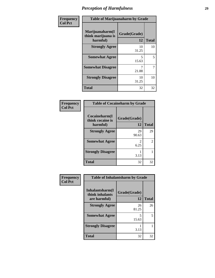| Frequency      | <b>Table of Marijuanaharm by Grade</b>            |                    |              |  |
|----------------|---------------------------------------------------|--------------------|--------------|--|
| <b>Col Pct</b> | Marijuanaharm(I<br>think marijuana is<br>harmful) | Grade(Grade)<br>12 | <b>Total</b> |  |
|                | <b>Strongly Agree</b>                             | 10<br>31.25        | 10           |  |
|                | <b>Somewhat Agree</b>                             | 5<br>15.63         | 5            |  |
|                | <b>Somewhat Disagree</b>                          | 21.88              | 7            |  |
|                | <b>Strongly Disagree</b>                          | 10<br>31.25        | 10           |  |
|                | <b>Total</b>                                      | 32                 | 32           |  |

#### **Frequency Col Pct**

| <b>Table of Cocaineharm by Grade</b>           |                    |              |  |  |
|------------------------------------------------|--------------------|--------------|--|--|
| Cocaineharm(I)<br>think cocaine is<br>harmful) | Grade(Grade)<br>12 | <b>Total</b> |  |  |
| <b>Strongly Agree</b>                          | 29<br>90.63        | 29           |  |  |
| <b>Somewhat Agree</b>                          | 2<br>6.25          | 2            |  |  |
| <b>Strongly Disagree</b>                       | 3.13               |              |  |  |
| <b>Total</b>                                   | 32                 | 32           |  |  |

| Table of Inhalantsharm by Grade    |              |              |  |  |
|------------------------------------|--------------|--------------|--|--|
| Inhalantsharm(I<br>think inhalants | Grade(Grade) |              |  |  |
| are harmful)                       | 12           | <b>Total</b> |  |  |
| <b>Strongly Agree</b>              | 26<br>81.25  | 26           |  |  |
| <b>Somewhat Agree</b>              | 5<br>15.63   | 5            |  |  |
| <b>Strongly Disagree</b>           | 3.13         |              |  |  |
| <b>Total</b>                       | 32           |              |  |  |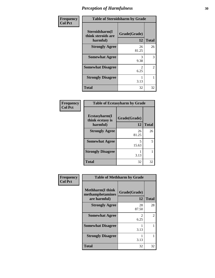| Frequency      | <b>Table of Steroidsharm by Grade</b>            |                    |              |  |
|----------------|--------------------------------------------------|--------------------|--------------|--|
| <b>Col Pct</b> | Steroidsharm(I<br>think steroids are<br>harmful) | Grade(Grade)<br>12 | <b>Total</b> |  |
|                | <b>Strongly Agree</b>                            | 26<br>81.25        | 26           |  |
|                | <b>Somewhat Agree</b>                            | 3<br>9.38          | 3            |  |
|                | <b>Somewhat Disagree</b>                         | 2<br>6.25          | 2            |  |
|                | <b>Strongly Disagree</b>                         | 3.13               | 1            |  |
|                | <b>Total</b>                                     | 32                 | 32           |  |

| <b>Table of Ecstasyharm by Grade</b> |              |              |  |  |
|--------------------------------------|--------------|--------------|--|--|
| Ecstasyharm(I<br>think ecstasy is    | Grade(Grade) |              |  |  |
| harmful)                             | 12           | <b>Total</b> |  |  |
| <b>Strongly Agree</b>                | 26<br>81.25  | 26           |  |  |
| <b>Somewhat Agree</b>                | 5<br>15.63   | 5            |  |  |
| <b>Strongly Disagree</b>             | 3.13         |              |  |  |
| <b>Total</b>                         | 32           | 32           |  |  |

| <b>Frequency</b> | <b>Table of Methharm by Grade</b>                            |                        |              |  |
|------------------|--------------------------------------------------------------|------------------------|--------------|--|
| <b>Col Pct</b>   | <b>Methharm</b> (I think<br>methamphetamines<br>are harmful) | Grade(Grade)<br>12     | <b>Total</b> |  |
|                  | <b>Strongly Agree</b>                                        | 28<br>87.50            | 28           |  |
|                  | <b>Somewhat Agree</b>                                        | $\mathfrak{D}$<br>6.25 | 2            |  |
|                  | <b>Somewhat Disagree</b>                                     | 3.13                   | 1            |  |
|                  | <b>Strongly Disagree</b>                                     | 3.13                   | 1            |  |
|                  | <b>Total</b>                                                 | 32                     | 32           |  |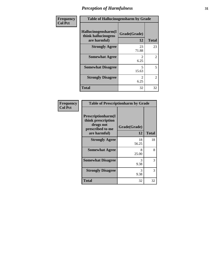| Frequency      | <b>Table of Hallucinogensharm by Grade</b>                 |                        |              |
|----------------|------------------------------------------------------------|------------------------|--------------|
| <b>Col Pct</b> | Hallucinogensharm(I<br>think hallucinogens<br>are harmful) | Grade(Grade)<br>12     | <b>Total</b> |
|                | <b>Strongly Agree</b>                                      | 23<br>71.88            | 23           |
|                | <b>Somewhat Agree</b>                                      | 2<br>6.25              | 2            |
|                | <b>Somewhat Disagree</b>                                   | 5<br>15.63             | 5            |
|                | <b>Strongly Disagree</b>                                   | $\mathfrak{D}$<br>6.25 | 2            |
|                | <b>Total</b>                                               | 32                     | 32           |

| <b>Table of Prescriptionharm by Grade</b>                                                         |                    |              |
|---------------------------------------------------------------------------------------------------|--------------------|--------------|
| <b>Prescriptionharm</b> (I<br>think prescription<br>drugs not<br>prescribed to me<br>are harmful) | Grade(Grade)<br>12 | <b>Total</b> |
| <b>Strongly Agree</b>                                                                             | 18<br>56.25        | 18           |
| <b>Somewhat Agree</b>                                                                             | 8<br>25.00         | 8            |
| <b>Somewhat Disagree</b>                                                                          | 3<br>9.38          | 3            |
| <b>Strongly Disagree</b>                                                                          | 3<br>9.38          | 3            |
| <b>Total</b>                                                                                      | 32                 | 32           |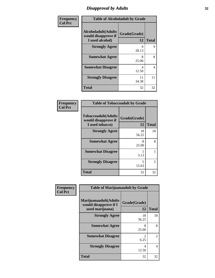### *Disapproval by Adults* **32**

| Frequency      | <b>Table of Alcoholadult by Grade</b>                                 |                    |              |
|----------------|-----------------------------------------------------------------------|--------------------|--------------|
| <b>Col Pct</b> | <b>Alcoholadult</b> (Adults<br>would disapprove if<br>I used alcohol) | Grade(Grade)<br>12 | <b>Total</b> |
|                | <b>Strongly Agree</b>                                                 | Q<br>28.13         | 9            |
|                | <b>Somewhat Agree</b>                                                 | 8<br>25.00         | 8            |
|                | <b>Somewhat Disagree</b>                                              | 4<br>12.50         | 4            |
|                | <b>Strongly Disagree</b>                                              | 11<br>34.38        | 11           |
|                | <b>Total</b>                                                          | 32                 | 32           |

| <b>Frequency</b> |
|------------------|
| <b>Col Pct</b>   |

| <b>Table of Tobaccoadult by Grade</b>                                 |                    |              |  |
|-----------------------------------------------------------------------|--------------------|--------------|--|
| <b>Tobaccoadult</b> (Adults<br>would disapprove if<br>I used tobacco) | Grade(Grade)<br>12 | <b>Total</b> |  |
| <b>Strongly Agree</b>                                                 | 18<br>56.25        | 18           |  |
| <b>Somewhat Agree</b>                                                 | 8<br>25.00         | 8            |  |
| <b>Somewhat Disagree</b>                                              | 3.13               |              |  |
| <b>Strongly Disagree</b>                                              | 5<br>15.63         | 5            |  |
| Total                                                                 | 32                 | 32           |  |

| Frequency      | <b>Table of Marijuanaadult by Grade</b>        |                        |               |
|----------------|------------------------------------------------|------------------------|---------------|
| <b>Col Pct</b> |                                                |                        |               |
|                | Marijuanaadult(Adults<br>would disapprove if I | Grade(Grade)           |               |
|                | used marijuana)                                | 12                     | <b>Total</b>  |
|                | <b>Strongly Agree</b>                          | 18<br>56.25            | 18            |
|                | <b>Somewhat Agree</b>                          | 8<br>25.00             | 8             |
|                | <b>Somewhat Disagree</b>                       | $\mathfrak{D}$<br>6.25 | $\mathcal{L}$ |
|                | <b>Strongly Disagree</b>                       | 4<br>12.50             | 4             |
|                | Total                                          | 32                     | 32            |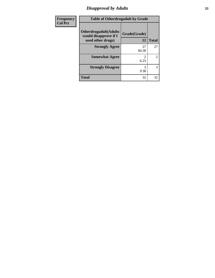### *Disapproval by Adults* **33**

| Frequency      | <b>Table of Otherdrugadult by Grade</b>                                     |                    |              |
|----------------|-----------------------------------------------------------------------------|--------------------|--------------|
| <b>Col Pct</b> | <b>Otherdrugadult</b> (Adults<br>would disapprove if I<br>used other drugs) | Grade(Grade)<br>12 | <b>Total</b> |
|                | <b>Strongly Agree</b>                                                       | 27<br>84.38        | 27           |
|                | <b>Somewhat Agree</b>                                                       | 6.25               | 2            |
|                | <b>Strongly Disagree</b>                                                    | 3<br>9.38          | 3            |
|                | <b>Total</b>                                                                | 32                 | 32           |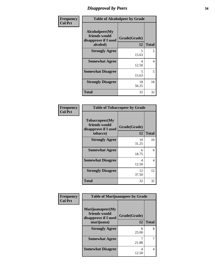### *Disapproval by Peers* **34**

| Frequency      | <b>Table of Alcoholpeer by Grade</b>                                |                    |              |
|----------------|---------------------------------------------------------------------|--------------------|--------------|
| <b>Col Pct</b> | Alcoholpeer(My<br>friends would<br>disapprove if I used<br>alcohol) | Grade(Grade)<br>12 | <b>Total</b> |
|                | <b>Strongly Agree</b>                                               | 5<br>15.63         | 5            |
|                | <b>Somewhat Agree</b>                                               | 4<br>12.50         | 4            |
|                | <b>Somewhat Disagree</b>                                            | 5<br>15.63         | 5            |
|                | <b>Strongly Disagree</b>                                            | 18<br>56.25        | 18           |
|                | <b>Total</b>                                                        | 32                 | 32           |

| <b>Frequency</b><br>Col Pct |
|-----------------------------|
|                             |

| <b>Table of Tobaccopeer by Grade</b>                                        |                    |              |
|-----------------------------------------------------------------------------|--------------------|--------------|
| <b>Tobaccopeer</b> (My<br>friends would<br>disapprove if I used<br>tobacco) | Grade(Grade)<br>12 | <b>Total</b> |
| <b>Strongly Agree</b>                                                       | 10<br>31.25        | 10           |
| <b>Somewhat Agree</b>                                                       | 6<br>18.75         | 6            |
| <b>Somewhat Disagree</b>                                                    | 4<br>12.50         | 4            |
| <b>Strongly Disagree</b>                                                    | 12<br>37.50        | 12           |
| Total                                                                       | 32                 | 32           |

| Frequency      | <b>Table of Marijuanapeer by Grade</b>                    |              |              |
|----------------|-----------------------------------------------------------|--------------|--------------|
| <b>Col Pct</b> | Marijuanapeer(My<br>friends would<br>disapprove if I used | Grade(Grade) |              |
|                | marijuana)                                                | 12           | <b>Total</b> |
|                | <b>Strongly Agree</b>                                     | 8<br>25.00   |              |
|                | <b>Somewhat Agree</b>                                     | 21.88        |              |
|                | <b>Somewhat Disagree</b>                                  | 4<br>12.50   |              |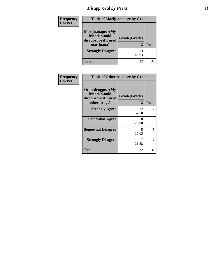# *Disapproval by Peers* **35**

| <b>Frequency</b><br><b>Col Pct</b> | <b>Table of Marijuanapeer by Grade</b>                                  |                    |              |
|------------------------------------|-------------------------------------------------------------------------|--------------------|--------------|
|                                    | Marijuanapeer(My<br>friends would<br>disapprove if I used<br>marijuana) | Grade(Grade)<br>12 | <b>Total</b> |
|                                    | <b>Strongly Disagree</b>                                                | 13<br>40.63        | 13           |
|                                    | <b>Total</b>                                                            | 32                 | 32           |

| Frequency      | <b>Table of Otherdrugpeer by Grade</b>                                    |                    |              |
|----------------|---------------------------------------------------------------------------|--------------------|--------------|
| <b>Col Pct</b> | Otherdrugpeer(My<br>friends would<br>disapprove if I used<br>other drugs) | Grade(Grade)<br>12 | <b>Total</b> |
|                | <b>Strongly Agree</b>                                                     | 12<br>37.50        | 12           |
|                | <b>Somewhat Agree</b>                                                     | 8<br>25.00         | 8            |
|                | <b>Somewhat Disagree</b>                                                  | 5<br>15.63         | 5            |
|                | <b>Strongly Disagree</b>                                                  | 21.88              | 7            |
|                | <b>Total</b>                                                              | 32                 | 32           |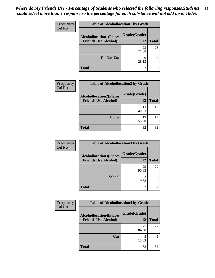#### *Where do My Friends Use - Percentage of Students who selected the following responses.Students could select more than 1 response so the percentage for each substance will not add up to 100%.* **36**

| Frequency      | <b>Table of Alcohollocation1 by Grade</b> |              |              |
|----------------|-------------------------------------------|--------------|--------------|
| <b>Col Pct</b> | <b>Alcohollocation1(Places</b>            | Grade(Grade) |              |
|                | <b>Friends Use Alcohol)</b>               | 12           | <b>Total</b> |
|                |                                           | 23<br>71.88  | 23           |
|                | Do Not Use                                | Q<br>28.13   | 9            |
|                | <b>Total</b>                              | 32           | 32           |

| Frequency      | <b>Table of Alcohollocation2 by Grade</b>                     |                    |              |
|----------------|---------------------------------------------------------------|--------------------|--------------|
| <b>Col Pct</b> | <b>Alcohollocation2(Places</b><br><b>Friends Use Alcohol)</b> | Grade(Grade)<br>12 | <b>Total</b> |
|                |                                                               | 13<br>40.63        | 13           |
|                | Home                                                          | 19<br>59.38        | 19           |
|                | <b>Total</b>                                                  | 32                 | 32           |

| Frequency      | <b>Table of Alcohollocation 3 by Grade</b>                    |                    |              |
|----------------|---------------------------------------------------------------|--------------------|--------------|
| <b>Col Pct</b> | <b>Alcohollocation3(Places</b><br><b>Friends Use Alcohol)</b> | Grade(Grade)<br>12 | <b>Total</b> |
|                |                                                               | 29<br>90.63        | 29           |
|                | <b>School</b>                                                 | 9.38               |              |
|                | <b>Total</b>                                                  | 32                 | 32           |

| <b>Frequency</b> | <b>Table of Alcohollocation4 by Grade</b>                     |                    |              |
|------------------|---------------------------------------------------------------|--------------------|--------------|
| <b>Col Pct</b>   | <b>Alcohollocation4(Places</b><br><b>Friends Use Alcohol)</b> | Grade(Grade)<br>12 | <b>Total</b> |
|                  |                                                               | 27<br>84.38        | 27           |
|                  | Car                                                           | 5<br>15.63         | 5            |
|                  | <b>Total</b>                                                  | 32                 | 32           |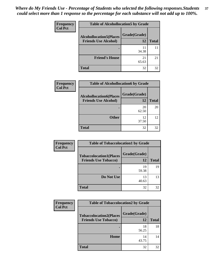| Frequency      |                                | <b>Table of Alcohollocation5 by Grade</b> |              |
|----------------|--------------------------------|-------------------------------------------|--------------|
| <b>Col Pct</b> | <b>Alcohollocation5(Places</b> | Grade(Grade)                              |              |
|                | <b>Friends Use Alcohol)</b>    | 12                                        | <b>Total</b> |
|                |                                | 34.38                                     |              |
|                | <b>Friend's House</b>          | 21<br>65.63                               | 21           |
|                | <b>Total</b>                   | 32                                        | 32           |

| <b>Frequency</b> | <b>Table of Alcohollocation6 by Grade</b>                     |                    |              |
|------------------|---------------------------------------------------------------|--------------------|--------------|
| <b>Col Pct</b>   | <b>Alcohollocation6(Places</b><br><b>Friends Use Alcohol)</b> | Grade(Grade)<br>12 | <b>Total</b> |
|                  |                                                               | 20<br>62.50        | 20           |
|                  | <b>Other</b>                                                  | 12<br>37.50        | 12           |
|                  | <b>Total</b>                                                  | 32                 | 32           |

| Frequency      | <b>Table of Tobaccolocation1 by Grade</b>                     |                    |              |
|----------------|---------------------------------------------------------------|--------------------|--------------|
| <b>Col Pct</b> | <b>Tobaccolocation1(Places</b><br><b>Friends Use Tobacco)</b> | Grade(Grade)<br>12 | <b>Total</b> |
|                |                                                               | 19<br>59.38        | 19           |
|                | Do Not Use                                                    | 13<br>40.63        | 13           |
|                | <b>Total</b>                                                  | 32                 | 32           |

| <b>Frequency</b> | <b>Table of Tobaccolocation2 by Grade</b>                     |                    |              |
|------------------|---------------------------------------------------------------|--------------------|--------------|
| <b>Col Pct</b>   | <b>Tobaccolocation2(Places</b><br><b>Friends Use Tobacco)</b> | Grade(Grade)<br>12 | <b>Total</b> |
|                  |                                                               | 18<br>56.25        | 18           |
|                  | Home                                                          | 14<br>43.75        | 14           |
|                  | <b>Total</b>                                                  | 32                 | 32           |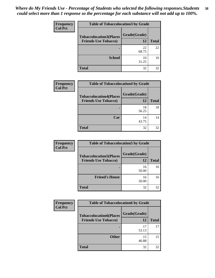| Frequency      | <b>Table of Tobaccolocation 3 by Grade</b> |              |              |  |
|----------------|--------------------------------------------|--------------|--------------|--|
| <b>Col Pct</b> | <b>Tobaccolocation3(Places</b>             | Grade(Grade) |              |  |
|                | <b>Friends Use Tobacco)</b>                | 12           | <b>Total</b> |  |
|                |                                            | 22<br>68.75  | 22           |  |
|                | <b>School</b>                              | 10<br>31.25  | 10           |  |
|                | <b>Total</b>                               | 32           | 32           |  |

| <b>Frequency</b> | <b>Table of Tobaccolocation4 by Grade</b>                     |                    |              |
|------------------|---------------------------------------------------------------|--------------------|--------------|
| <b>Col Pct</b>   | <b>Tobaccolocation4(Places</b><br><b>Friends Use Tobacco)</b> | Grade(Grade)<br>12 | <b>Total</b> |
|                  |                                                               | 18<br>56.25        | 18           |
|                  | Car                                                           | 14<br>43.75        | 14           |
|                  | <b>Total</b>                                                  | 32                 | 32           |

| <b>Frequency</b> | <b>Table of Tobaccolocation5 by Grade</b>                     |                    |              |
|------------------|---------------------------------------------------------------|--------------------|--------------|
| <b>Col Pct</b>   | <b>Tobaccolocation5(Places</b><br><b>Friends Use Tobacco)</b> | Grade(Grade)<br>12 | <b>Total</b> |
|                  |                                                               | 16<br>50.00        | 16           |
|                  | <b>Friend's House</b>                                         | 16<br>50.00        | 16           |
|                  | <b>Total</b>                                                  | 32                 | 32           |

| <b>Frequency</b> | <b>Table of Tobaccolocation6 by Grade</b>                     |                    |              |
|------------------|---------------------------------------------------------------|--------------------|--------------|
| <b>Col Pct</b>   | <b>Tobaccolocation6(Places</b><br><b>Friends Use Tobacco)</b> | Grade(Grade)<br>12 | <b>Total</b> |
|                  |                                                               | 53.13              | 17           |
|                  | <b>Other</b>                                                  | 15<br>46.88        | 15           |
|                  | Total                                                         | 32                 | 32           |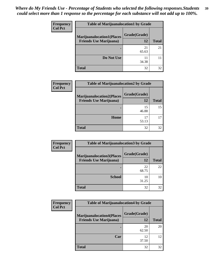| <b>Frequency</b> | <b>Table of Marijuanalocation1 by Grade</b> |              |              |
|------------------|---------------------------------------------|--------------|--------------|
| <b>Col Pct</b>   | <b>Marijuanalocation1(Places</b>            | Grade(Grade) |              |
|                  | <b>Friends Use Marijuana</b> )              | 12           | <b>Total</b> |
|                  |                                             | 21<br>65.63  | 21           |
|                  | Do Not Use                                  | 11<br>34.38  |              |
|                  | <b>Total</b>                                | 32           | 32           |

| Frequency      | <b>Table of Marijuanalocation2 by Grade</b>                        |                    |              |
|----------------|--------------------------------------------------------------------|--------------------|--------------|
| <b>Col Pct</b> | <b>Marijuanalocation2(Places</b><br><b>Friends Use Marijuana</b> ) | Grade(Grade)<br>12 | <b>Total</b> |
|                |                                                                    | 15<br>46.88        | 15           |
|                | Home                                                               | 53.13              | 17           |
|                | <b>Total</b>                                                       | 32                 | 32           |

| Frequency<br><b>Col Pct</b> | <b>Table of Marijuanalocation3 by Grade</b>                        |                    |              |
|-----------------------------|--------------------------------------------------------------------|--------------------|--------------|
|                             | <b>Marijuanalocation3(Places</b><br><b>Friends Use Marijuana</b> ) | Grade(Grade)<br>12 | <b>Total</b> |
|                             |                                                                    | 22<br>68.75        | 22           |
|                             | <b>School</b>                                                      | 10<br>31.25        | 10           |
|                             | <b>Total</b>                                                       | 32                 | 32           |

| Frequency      | <b>Table of Marijuanalocation4 by Grade</b>                        |                    |              |  |
|----------------|--------------------------------------------------------------------|--------------------|--------------|--|
| <b>Col Pct</b> | <b>Marijuanalocation4(Places</b><br><b>Friends Use Marijuana</b> ) | Grade(Grade)<br>12 | <b>Total</b> |  |
|                |                                                                    | 20<br>62.50        | 20           |  |
|                | Car                                                                | 12<br>37.50        | 12           |  |
|                | <b>Total</b>                                                       | 32                 | 32           |  |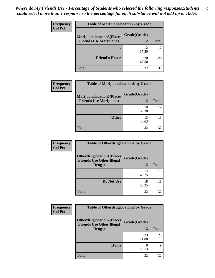| <b>Frequency</b> | <b>Table of Marijuanalocation5 by Grade</b> |              |              |
|------------------|---------------------------------------------|--------------|--------------|
| <b>Col Pct</b>   | <b>Marijuanalocation5(Places</b>            | Grade(Grade) |              |
|                  | <b>Friends Use Marijuana</b> )              | 12           | <b>Total</b> |
|                  |                                             | 12<br>37.50  | 12           |
|                  | <b>Friend's House</b>                       | 20<br>62.50  | 20           |
|                  | <b>Total</b>                                | 32           | 32           |

| <b>Frequency</b> | <b>Table of Marijuanalocation6 by Grade</b>                        |                    |              |
|------------------|--------------------------------------------------------------------|--------------------|--------------|
| <b>Col Pct</b>   | <b>Marijuanalocation6(Places</b><br><b>Friends Use Marijuana</b> ) | Grade(Grade)<br>12 | <b>Total</b> |
|                  |                                                                    | 19<br>59.38        | 19           |
|                  | <b>Other</b>                                                       | 13<br>40.63        | 13           |
|                  | <b>Total</b>                                                       | 32                 | 32           |

| Frequency      | <b>Table of Otherdruglocation1 by Grade</b>                                    |                    |              |
|----------------|--------------------------------------------------------------------------------|--------------------|--------------|
| <b>Col Pct</b> | <b>Otherdruglocation1(Places</b><br><b>Friends Use Other Illegal</b><br>Drugs) | Grade(Grade)<br>12 | <b>Total</b> |
|                |                                                                                | 14<br>43.75        | 14           |
|                | Do Not Use                                                                     | 18<br>56.25        | 18           |
|                | <b>Total</b>                                                                   | 32                 | 32           |

| Frequency      | <b>Table of Otherdruglocation2 by Grade</b>                                    |                    |              |
|----------------|--------------------------------------------------------------------------------|--------------------|--------------|
| <b>Col Pct</b> | <b>Otherdruglocation2(Places</b><br><b>Friends Use Other Illegal</b><br>Drugs) | Grade(Grade)<br>12 | <b>Total</b> |
|                |                                                                                | 23<br>71.88        | 23           |
|                | Home                                                                           | O<br>28.13         | 9            |
|                | <b>Total</b>                                                                   | 32                 | 32           |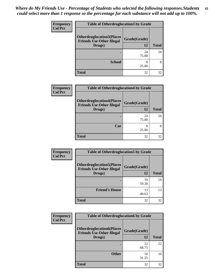| <b>Frequency</b> | <b>Table of Otherdruglocation3 by Grade</b>                          |              |              |
|------------------|----------------------------------------------------------------------|--------------|--------------|
| <b>Col Pct</b>   | <b>Otherdruglocation3(Places</b><br><b>Friends Use Other Illegal</b> | Grade(Grade) |              |
|                  | Drugs)                                                               | 12           | <b>Total</b> |
|                  |                                                                      | 24<br>75.00  | 24           |
|                  | <b>School</b>                                                        | 25.00        | 8            |
|                  | <b>Total</b>                                                         | 32           | 32           |

I

| Frequency      | <b>Table of Otherdruglocation4 by Grade</b>                                    |                    |              |
|----------------|--------------------------------------------------------------------------------|--------------------|--------------|
| <b>Col Pct</b> | <b>Otherdruglocation4(Places</b><br><b>Friends Use Other Illegal</b><br>Drugs) | Grade(Grade)<br>12 | <b>Total</b> |
|                |                                                                                | 24<br>75.00        | 24           |
|                | Car                                                                            | 8<br>25.00         | 8            |
|                | <b>Total</b>                                                                   | 32                 | 32           |

| Frequency      | <b>Table of Otherdruglocation5 by Grade</b>                                    |                    |              |
|----------------|--------------------------------------------------------------------------------|--------------------|--------------|
| <b>Col Pct</b> | <b>Otherdruglocation5(Places</b><br><b>Friends Use Other Illegal</b><br>Drugs) | Grade(Grade)<br>12 | <b>Total</b> |
|                |                                                                                | 19<br>59.38        | 19           |
|                | <b>Friend's House</b>                                                          | 13<br>40.63        | 13           |
|                | <b>Total</b>                                                                   | 32                 | 32           |

| <b>Frequency</b> | <b>Table of Otherdruglocation6 by Grade</b>                                    |                    |              |
|------------------|--------------------------------------------------------------------------------|--------------------|--------------|
| <b>Col Pct</b>   | <b>Otherdruglocation6(Places</b><br><b>Friends Use Other Illegal</b><br>Drugs) | Grade(Grade)<br>12 | <b>Total</b> |
|                  |                                                                                | 22<br>68.75        | 22           |
|                  | <b>Other</b>                                                                   | 10<br>31.25        | 10           |
|                  | <b>Total</b>                                                                   | 32                 | 32           |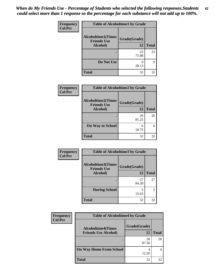| Frequency      | <b>Table of Alcoholtime1 by Grade</b>           |              |              |
|----------------|-------------------------------------------------|--------------|--------------|
| <b>Col Pct</b> | <b>Alcoholtime1(Times</b><br><b>Friends Use</b> | Grade(Grade) |              |
|                | Alcohol)                                        | 12           | <b>Total</b> |
|                |                                                 | 23<br>71.88  | 23           |
|                | Do Not Use                                      | q<br>28.13   | 9            |
|                | <b>Total</b>                                    | 32           | 32           |

| Frequency      | <b>Table of Alcoholtime2 by Grade</b>           |              |              |
|----------------|-------------------------------------------------|--------------|--------------|
| <b>Col Pct</b> | <b>Alcoholtime2(Times</b><br><b>Friends Use</b> | Grade(Grade) |              |
|                | Alcohol)                                        | 12           | <b>Total</b> |
|                |                                                 | 26<br>81.25  | 26           |
|                | <b>On Way to School</b>                         | 6<br>18.75   | 6            |
|                | <b>Total</b>                                    | 32           | 32           |

| Frequency      | <b>Table of Alcoholtime3 by Grade</b>           |              |              |
|----------------|-------------------------------------------------|--------------|--------------|
| <b>Col Pct</b> | <b>Alcoholtime3(Times</b><br><b>Friends Use</b> | Grade(Grade) |              |
|                | Alcohol)                                        | 12           | <b>Total</b> |
|                |                                                 | 27<br>84.38  | 27           |
|                | <b>During School</b>                            | 15.63        | 5            |
|                | <b>Total</b>                                    | 32           | 32           |

| Frequency<br><b>Col Pct</b> | <b>Table of Alcoholtime4 by Grade</b> |              |              |
|-----------------------------|---------------------------------------|--------------|--------------|
|                             | <b>Alcoholtime4(Times</b>             | Grade(Grade) |              |
|                             | <b>Friends Use Alcohol)</b>           | 12           | <b>Total</b> |
|                             |                                       | 28<br>87.50  | 28           |
|                             | <b>On Way Home From School</b>        | 4<br>12.50   |              |
|                             | <b>Total</b>                          | 32           | 32           |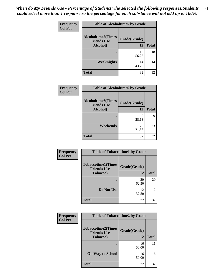| Frequency      | <b>Table of Alcoholtime5 by Grade</b>           |              |              |
|----------------|-------------------------------------------------|--------------|--------------|
| <b>Col Pct</b> | <b>Alcoholtime5(Times</b><br><b>Friends Use</b> | Grade(Grade) |              |
|                | Alcohol)                                        | 12           | <b>Total</b> |
|                |                                                 | 18<br>56.25  | 18           |
|                | Weeknights                                      | 14<br>43.75  | 14           |
|                | <b>Total</b>                                    | 32           | 32           |

| Frequency      |                                                 | <b>Table of Alcoholtime6 by Grade</b> |              |
|----------------|-------------------------------------------------|---------------------------------------|--------------|
| <b>Col Pct</b> | <b>Alcoholtime6(Times</b><br><b>Friends Use</b> | Grade(Grade)                          |              |
|                | Alcohol)                                        | 12                                    | <b>Total</b> |
|                |                                                 | 9<br>28.13                            | 9            |
|                | Weekends                                        | 23<br>71.88                           | 23           |
|                | <b>Total</b>                                    | 32                                    | 32           |
|                |                                                 |                                       |              |

| Frequency      | <b>Table of Tobaccotime1 by Grade</b>           |              |              |
|----------------|-------------------------------------------------|--------------|--------------|
| <b>Col Pct</b> | <b>Tobaccotime1(Times</b><br><b>Friends Use</b> | Grade(Grade) |              |
|                | <b>Tobacco</b> )                                | 12           | <b>Total</b> |
|                |                                                 | 20<br>62.50  | 20           |
|                | Do Not Use                                      | 12<br>37.50  | 12           |
|                | <b>Total</b>                                    | 32           | 32           |

| Frequency      | <b>Table of Tobaccotime2 by Grade</b>           |              |              |
|----------------|-------------------------------------------------|--------------|--------------|
| <b>Col Pct</b> | <b>Tobaccotime2(Times</b><br><b>Friends Use</b> | Grade(Grade) |              |
|                | <b>Tobacco</b> )                                | 12           | <b>Total</b> |
|                |                                                 | 16<br>50.00  | 16           |
|                | <b>On Way to School</b>                         | 16<br>50.00  | 16           |
|                | <b>Total</b>                                    | 32           | 32           |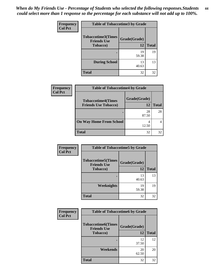| Frequency      | <b>Table of Tobaccotime3 by Grade</b>           |              |              |
|----------------|-------------------------------------------------|--------------|--------------|
| <b>Col Pct</b> | <b>Tobaccotime3(Times</b><br><b>Friends Use</b> | Grade(Grade) |              |
|                | <b>Tobacco</b> )                                | 12           | <b>Total</b> |
|                |                                                 | 19<br>59.38  | 19           |
|                | <b>During School</b>                            | 13<br>40.63  | 13           |
|                | <b>Total</b>                                    | 32           | 32           |

| Frequency<br><b>Col Pct</b> | <b>Table of Tobaccotime4 by Grade</b>                    |                    |              |  |
|-----------------------------|----------------------------------------------------------|--------------------|--------------|--|
|                             | <b>Tobaccotime4(Times</b><br><b>Friends Use Tobacco)</b> | Grade(Grade)<br>12 | <b>Total</b> |  |
|                             |                                                          |                    |              |  |
|                             |                                                          | 28<br>87.50        | 28           |  |
|                             | <b>On Way Home From School</b>                           |                    |              |  |
|                             |                                                          | 12.50              |              |  |
|                             | <b>Total</b>                                             | 32                 | 32           |  |

| Frequency      | <b>Table of Tobaccotime5 by Grade</b>           |              |              |
|----------------|-------------------------------------------------|--------------|--------------|
| <b>Col Pct</b> | <b>Tobaccotime5(Times</b><br><b>Friends Use</b> | Grade(Grade) |              |
|                | <b>Tobacco</b> )                                | 12           | <b>Total</b> |
|                |                                                 | 13<br>40.63  | 13           |
|                | Weeknights                                      | 19<br>59.38  | 19           |
|                | <b>Total</b>                                    | 32           | 32           |

| <b>Frequency</b> | <b>Table of Tobaccotime6 by Grade</b>           |              |              |
|------------------|-------------------------------------------------|--------------|--------------|
| <b>Col Pct</b>   | <b>Tobaccotime6(Times</b><br><b>Friends Use</b> | Grade(Grade) |              |
|                  | <b>Tobacco</b> )                                | 12           | <b>Total</b> |
|                  |                                                 | 12<br>37.50  | 12           |
|                  | Weekends                                        | 20<br>62.50  | 20           |
|                  | <b>Total</b>                                    | 32           | 32           |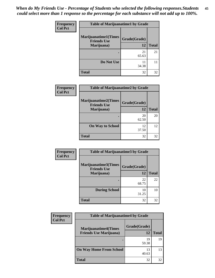*When do My Friends Use - Percentage of Students who selected the following responses.Students could select more than 1 response so the percentage for each substance will not add up to 100%.* **45**

| <b>Frequency</b> | <b>Table of Marijuanatime1 by Grade</b>                         |                    |              |
|------------------|-----------------------------------------------------------------|--------------------|--------------|
| <b>Col Pct</b>   | <b>Marijuanatime1(Times</b><br><b>Friends Use</b><br>Marijuana) | Grade(Grade)<br>12 | <b>Total</b> |
|                  |                                                                 | 21<br>65.63        | 21           |
|                  | Do Not Use                                                      | 11<br>34.38        |              |
|                  | <b>Total</b>                                                    | 32                 | 32           |

| Frequency      | <b>Table of Marijuanatime2 by Grade</b>    |              |              |
|----------------|--------------------------------------------|--------------|--------------|
| <b>Col Pct</b> | Marijuanatime2(Times<br><b>Friends Use</b> | Grade(Grade) |              |
|                | Marijuana)                                 | 12           | <b>Total</b> |
|                |                                            | 20<br>62.50  | 20           |
|                | <b>On Way to School</b>                    | 12<br>37.50  | 12           |
|                | <b>Total</b>                               | 32           | 32           |

| Frequency      | <b>Table of Marijuanatime3 by Grade</b>    |              |              |
|----------------|--------------------------------------------|--------------|--------------|
| <b>Col Pct</b> | Marijuanatime3(Times<br><b>Friends Use</b> | Grade(Grade) |              |
|                | Marijuana)                                 | 12           | <b>Total</b> |
|                |                                            | 22<br>68.75  | 22           |
|                | <b>During School</b>                       | 10<br>31.25  | 10           |
|                | <b>Total</b>                               | 32           | 32           |

| <b>Frequency</b> | <b>Table of Marijuanatime4 by Grade</b> |              |              |  |
|------------------|-----------------------------------------|--------------|--------------|--|
| <b>Col Pct</b>   | <b>Marijuanatime4</b> (Times            | Grade(Grade) |              |  |
|                  | <b>Friends Use Marijuana</b> )          | 12           | <b>Total</b> |  |
|                  |                                         | 19<br>59.38  | 19           |  |
|                  | <b>On Way Home From School</b>          | 13<br>40.63  | 13           |  |
|                  | <b>Total</b>                            | 32           | 32           |  |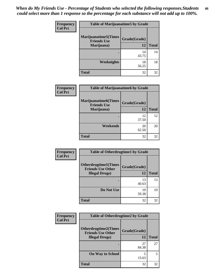| Frequency      | <b>Table of Marijuanatime5 by Grade</b>            |              |              |
|----------------|----------------------------------------------------|--------------|--------------|
| <b>Col Pct</b> | <b>Marijuanatime5</b> (Times<br><b>Friends Use</b> | Grade(Grade) |              |
|                | Marijuana)                                         | 12           | <b>Total</b> |
|                |                                                    | 14<br>43.75  | 14           |
|                | Weeknights                                         | 18<br>56.25  | 18           |
|                | <b>Total</b>                                       | 32           | 32           |

| <b>Frequency</b> | <b>Table of Marijuanatime6 by Grade</b>                          |                    |              |
|------------------|------------------------------------------------------------------|--------------------|--------------|
| <b>Col Pct</b>   | <b>Marijuanatime6</b> (Times<br><b>Friends Use</b><br>Marijuana) | Grade(Grade)<br>12 | <b>Total</b> |
|                  |                                                                  | 12<br>37.50        | 12           |
|                  | Weekends                                                         | 20<br>62.50        | 20           |
|                  | <b>Total</b>                                                     | 32                 | 32           |

| Frequency      | <b>Table of Otherdrugtime1 by Grade</b>                 |              |              |
|----------------|---------------------------------------------------------|--------------|--------------|
| <b>Col Pct</b> | <b>Otherdrugtime1(Times</b><br><b>Friends Use Other</b> | Grade(Grade) |              |
|                | <b>Illegal Drugs</b> )                                  | 12           | <b>Total</b> |
|                |                                                         | 13<br>40.63  | 13           |
|                | Do Not Use                                              | 19<br>59.38  | 19           |
|                | <b>Total</b>                                            | 32           | 32           |

| Frequency      | <b>Table of Otherdrugtime2 by Grade</b>                 |              |              |
|----------------|---------------------------------------------------------|--------------|--------------|
| <b>Col Pct</b> | <b>Otherdrugtime2(Times</b><br><b>Friends Use Other</b> | Grade(Grade) |              |
|                | <b>Illegal Drugs</b> )                                  | 12           | <b>Total</b> |
|                |                                                         | 27<br>84.38  | 27           |
|                | <b>On Way to School</b>                                 | 5<br>15.63   | 5            |
|                | <b>Total</b>                                            | 32           | 32           |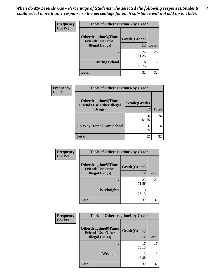| Frequency      | <b>Table of Otherdrugtime3 by Grade</b>                 |              |              |
|----------------|---------------------------------------------------------|--------------|--------------|
| <b>Col Pct</b> | <b>Otherdrugtime3(Times</b><br><b>Friends Use Other</b> | Grade(Grade) |              |
|                | <b>Illegal Drugs</b> )                                  | 12           | <b>Total</b> |
|                |                                                         | 26<br>81.25  | 26           |
|                | <b>During School</b>                                    | 6<br>18.75   | 6            |
|                | <b>Total</b>                                            | 32           | 32           |

| <b>Frequency</b> | <b>Table of Otherdrugtime4 by Grade</b>                                   |                    |              |  |
|------------------|---------------------------------------------------------------------------|--------------------|--------------|--|
| <b>Col Pct</b>   | <b>Otherdrugtime4(Times</b><br><b>Friends Use Other Illegal</b><br>Drugs) | Grade(Grade)<br>12 | <b>Total</b> |  |
|                  |                                                                           | 26<br>81.25        | 26           |  |
|                  | <b>On Way Home From School</b>                                            | 6<br>18.75         | 6            |  |
|                  | <b>Total</b>                                                              | 32                 | 32           |  |

| Frequency      | <b>Table of Otherdrugtime5 by Grade</b>                  |              |              |
|----------------|----------------------------------------------------------|--------------|--------------|
| <b>Col Pct</b> | <b>Otherdrugtime5</b> (Times<br><b>Friends Use Other</b> | Grade(Grade) |              |
|                | <b>Illegal Drugs</b> )                                   | 12           | <b>Total</b> |
|                |                                                          | 23<br>71.88  | 23           |
|                | Weeknights                                               | 9<br>28.13   | 9            |
|                | <b>Total</b>                                             | 32           | 32           |

| <b>Frequency</b> | <b>Table of Otherdrugtime6 by Grade</b>                 |              |              |
|------------------|---------------------------------------------------------|--------------|--------------|
| <b>Col Pct</b>   | <b>Otherdrugtime6(Times</b><br><b>Friends Use Other</b> | Grade(Grade) |              |
|                  | <b>Illegal Drugs</b> )                                  | 12           | <b>Total</b> |
|                  |                                                         | 17<br>53.13  | 17           |
|                  | Weekends                                                | 15<br>46.88  | 15           |
|                  | <b>Total</b>                                            | 32           | 32           |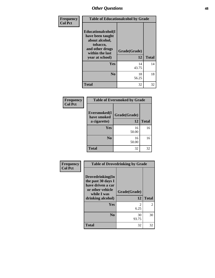| Frequency      | <b>Table of Educationalcohol by Grade</b>                                                                                     |                    |              |
|----------------|-------------------------------------------------------------------------------------------------------------------------------|--------------------|--------------|
| <b>Col Pct</b> | Educationalcohol(I<br>have been taught<br>about alcohol,<br>tobacco,<br>and other drugs<br>within the last<br>year at school) | Grade(Grade)<br>12 | <b>Total</b> |
|                | Yes                                                                                                                           | 14<br>43.75        | 14           |
|                | N <sub>0</sub>                                                                                                                | 18<br>56.25        | 18           |
|                | <b>Total</b>                                                                                                                  | 32                 | 32           |

| Frequency      | <b>Table of Eversmoked by Grade</b> |              |              |
|----------------|-------------------------------------|--------------|--------------|
| <b>Col Pct</b> | Eversmoked(I<br>have smoked         | Grade(Grade) |              |
|                | a cigarette)                        | 12           | <b>Total</b> |
|                | Yes                                 | 16<br>50.00  | 16           |
|                | N <sub>0</sub>                      | 16<br>50.00  | 16           |
|                | <b>Total</b>                        | 32           | 32           |

| Frequency      | <b>Table of Drovedrinking by Grade</b>                                                                              |                        |                |
|----------------|---------------------------------------------------------------------------------------------------------------------|------------------------|----------------|
| <b>Col Pct</b> | Drovedrinking(In<br>the past 30 days I<br>have driven a car<br>or other vehicle<br>while I was<br>drinking alcohol) | Grade(Grade)<br>12     | <b>Total</b>   |
|                | <b>Yes</b>                                                                                                          | $\mathfrak{D}$<br>6.25 | $\overline{2}$ |
|                | N <sub>0</sub>                                                                                                      | 30<br>93.75            | 30             |
|                | <b>Total</b>                                                                                                        | 32                     | 32             |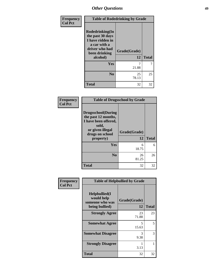| Frequency      | <b>Table of Rodedrinking by Grade</b>                                                                                  |                    |              |
|----------------|------------------------------------------------------------------------------------------------------------------------|--------------------|--------------|
| <b>Col Pct</b> | Rodedrinking(In<br>the past 30 days<br>I have ridden in<br>a car with a<br>driver who had<br>been drinking<br>alcohol) | Grade(Grade)<br>12 | <b>Total</b> |
|                | <b>Yes</b>                                                                                                             | 21.88              | 7            |
|                | N <sub>0</sub>                                                                                                         | 25<br>78.13        | 25           |
|                | <b>Total</b>                                                                                                           | 32                 | 32           |

### **Frequency Col Pct**

| <b>Table of Drugsschool by Grade</b>                                                                                                   |                    |              |  |  |  |
|----------------------------------------------------------------------------------------------------------------------------------------|--------------------|--------------|--|--|--|
| <b>Drugsschool</b> (During<br>the past 12 months,<br>I have been offered,<br>sold,<br>or given illegal<br>drugs on school<br>property) | Grade(Grade)<br>12 |              |  |  |  |
|                                                                                                                                        |                    |              |  |  |  |
|                                                                                                                                        |                    | <b>Total</b> |  |  |  |
| <b>Yes</b>                                                                                                                             | 6<br>18.75         | 6            |  |  |  |
| N <sub>0</sub>                                                                                                                         | 26<br>81.25        | 26           |  |  |  |

| Frequency      | <b>Table of Helpbullied by Grade</b>                                |                    |              |  |
|----------------|---------------------------------------------------------------------|--------------------|--------------|--|
| <b>Col Pct</b> | $Helpb$ ullied(I<br>would help<br>someone who was<br>being bullied) | Grade(Grade)<br>12 | <b>Total</b> |  |
|                | <b>Strongly Agree</b>                                               | 23<br>71.88        | 23           |  |
|                | <b>Somewhat Agree</b>                                               | 5<br>15.63         | 5            |  |
|                | <b>Somewhat Disagree</b>                                            | 3<br>9.38          | 3            |  |
|                | <b>Strongly Disagree</b>                                            | 3.13               |              |  |
|                | <b>Total</b>                                                        | 32                 | 32           |  |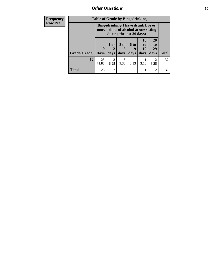*Other Questions* **50**

| <b>Frequency</b> |                     | <b>Table of Grade by Bingedrinking</b> |                                                                             |           |                          |                |                |              |
|------------------|---------------------|----------------------------------------|-----------------------------------------------------------------------------|-----------|--------------------------|----------------|----------------|--------------|
| <b>Row Pct</b>   |                     |                                        | Bingedrinking(I have drunk five or<br>more drinks of alcohol at one sitting |           | during the last 30 days) |                |                |              |
|                  |                     | $\mathbf 0$                            | 1 or                                                                        | 3 to      | <b>6 to</b><br>g         | 10<br>to<br>19 | 20<br>to<br>29 |              |
|                  | Grade(Grade)   Days |                                        | days                                                                        | days      | days                     | days           | days           | <b>Total</b> |
|                  | 12                  | 23<br>71.88                            | 2<br>6.25                                                                   | 3<br>9.38 | 3.13                     | 3.13           | 6.25           | 32           |
|                  | <b>Total</b>        | 23                                     | $\overline{2}$                                                              | 3         |                          |                | 2              | 32           |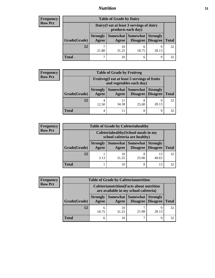## *Nutrition* **51**

### **Frequency Row Pct**

| <b>Table of Grade by Dairy</b> |                          |                                                                 |                     |                                        |              |
|--------------------------------|--------------------------|-----------------------------------------------------------------|---------------------|----------------------------------------|--------------|
|                                |                          | Dairy (I eat at least 3 servings of dairy<br>products each day) |                     |                                        |              |
| Grade(Grade)                   | <b>Strongly</b><br>Agree | Agree                                                           | Somewhat   Somewhat | <b>Strongly</b><br>Disagree   Disagree | <b>Total</b> |
| 12                             | 21.88                    | 10<br>31.25                                                     | 6<br>18.75          | Q<br>28.13                             | 32           |
| <b>Total</b>                   |                          | 10                                                              | 6                   | 9                                      | 32.          |

## **Frequen Row Pct**

n m

| icv | <b>Table of Grade by Fruitveg</b> |                          |                                                                          |                     |                                        |              |
|-----|-----------------------------------|--------------------------|--------------------------------------------------------------------------|---------------------|----------------------------------------|--------------|
| t   |                                   |                          | Fruitveg(I eat at least 5 servings of fruits<br>and vegetables each day) |                     |                                        |              |
|     | Grade(Grade)                      | <b>Strongly</b><br>Agree | Agree                                                                    | Somewhat   Somewhat | <b>Strongly</b><br>Disagree   Disagree | <b>Total</b> |
|     | 12                                | 12.50                    | 34.38                                                                    | 25.00               | Q<br>28.13                             | 32           |
|     | <b>Total</b>                      |                          |                                                                          |                     | 9                                      | 32           |

### **Frequency Row Pct**

| <b>Table of Grade by Cafeteriahealthy</b> |                          |                                                                       |                     |                                        |              |  |
|-------------------------------------------|--------------------------|-----------------------------------------------------------------------|---------------------|----------------------------------------|--------------|--|
|                                           |                          | Cafeteriahealthy (School meals in my<br>school cafeteria are healthy) |                     |                                        |              |  |
| Grade(Grade)                              | <b>Strongly</b><br>Agree | Agree                                                                 | Somewhat   Somewhat | <b>Strongly</b><br>Disagree   Disagree | <b>Total</b> |  |
| 12                                        | 3.13                     | 10<br>31.25                                                           | 25.00               | 13<br>40.63                            | 32           |  |
| <b>Total</b>                              |                          | 10<br>8<br>13                                                         |                     |                                        |              |  |

| <b>Frequency</b> |
|------------------|
| <b>Row Pct</b>   |

| <b>Table of Grade by Cafeterianutrition</b> |                          |                                                                                           |                                            |                 |              |  |
|---------------------------------------------|--------------------------|-------------------------------------------------------------------------------------------|--------------------------------------------|-----------------|--------------|--|
|                                             |                          | <b>Cafeterianutrition</b> (Facts about nutrition<br>are available in my school cafeteria) |                                            |                 |              |  |
| Grade(Grade)                                | <b>Strongly</b><br>Agree | Agree                                                                                     | Somewhat   Somewhat  <br>Disagree Disagree | <b>Strongly</b> | <b>Total</b> |  |
| 12                                          | h<br>18.75               | 10<br>31.25                                                                               | 21.88                                      | Q<br>28.13      | 32           |  |
| <b>Total</b>                                | 6                        | 10                                                                                        |                                            | 9               | 32           |  |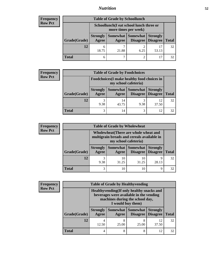## *Nutrition* **52**

| <b>Frequency</b> |  |
|------------------|--|
| Row Pct          |  |

| <b>Table of Grade by Schoollunch</b> |                          |                                                                 |                     |                                        |              |
|--------------------------------------|--------------------------|-----------------------------------------------------------------|---------------------|----------------------------------------|--------------|
|                                      |                          | Schoollunch(I eat school lunch three or<br>more times per week) |                     |                                        |              |
| Grade(Grade)                         | <b>Strongly</b><br>Agree | Agree                                                           | Somewhat   Somewhat | <b>Strongly</b><br>Disagree   Disagree | <b>Total</b> |
| 12                                   | 6<br>18.75               | 21.88                                                           | 6.25                | 17<br>53.13                            | 32           |
| <b>Total</b>                         | 6                        |                                                                 | ◠                   |                                        |              |

| <b>Frequency</b> | <b>Table of Grade by Foodchoices</b> |                          |                                                                     |                            |                                        |              |
|------------------|--------------------------------------|--------------------------|---------------------------------------------------------------------|----------------------------|----------------------------------------|--------------|
| <b>Row Pct</b>   |                                      |                          | Foodchoices (I make healthy food choices in<br>my school cafeteria) |                            |                                        |              |
|                  | Grade(Grade)                         | <b>Strongly</b><br>Agree | Agree                                                               | <b>Somewhat   Somewhat</b> | <b>Strongly</b><br>Disagree   Disagree | <b>Total</b> |
|                  | 12                                   | 3<br>9.38                | 14<br>43.75                                                         | 9.38                       | 12<br>37.50                            | 32           |
|                  | <b>Total</b>                         | 3                        | 14                                                                  | 3                          | 12                                     | 32           |

| <b>Frequency</b> |
|------------------|
| <b>Row Pct</b>   |

Ŧ. **T** 

| <b>l</b> Cy |              |                                                                                                             | <b>Table of Grade by Wholewheat</b> |                                          |                 |              |
|-------------|--------------|-------------------------------------------------------------------------------------------------------------|-------------------------------------|------------------------------------------|-----------------|--------------|
| D.          |              | Wholewheat (There are whole wheat and<br>multigrain breads and cereals available in<br>my school cafeteria) |                                     |                                          |                 |              |
|             | Grade(Grade) | <b>Strongly</b><br>Agree                                                                                    | Agree                               | Somewhat Somewhat<br>Disagree   Disagree | <b>Strongly</b> | <b>Total</b> |
|             | 12           | 3<br>9.38                                                                                                   | 10<br>31.25                         | 10<br>31.25                              | 9<br>28.13      | 32           |
|             | <b>Total</b> | 3                                                                                                           | 10                                  | 10                                       | 9               | 32           |

**Frequency Row Pct**

| V |              |                                                                                                                                               | <b>Table of Grade by Healthyvending</b> |                   |                                        |              |  |
|---|--------------|-----------------------------------------------------------------------------------------------------------------------------------------------|-----------------------------------------|-------------------|----------------------------------------|--------------|--|
|   |              | Healthyvending (If only healthy snacks and<br>beverages were available in the vending<br>machines during the school day,<br>I would buy them) |                                         |                   |                                        |              |  |
|   | Grade(Grade) | <b>Strongly</b><br>Agree                                                                                                                      | Agree                                   | Somewhat Somewhat | <b>Strongly</b><br>Disagree   Disagree | <b>Total</b> |  |
|   | 12           | 12.50                                                                                                                                         | 8<br>25.00                              | 8<br>25.00        | 12<br>37.50                            | 32           |  |
|   | <b>Total</b> |                                                                                                                                               | 8                                       | 8                 | 12                                     | 32           |  |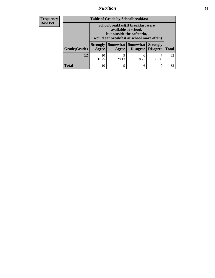# *Nutrition* **53**

| <b>Frequency</b> |
|------------------|
| Row Pct          |

| <b>Table of Grade by Schoolbreakfast</b> |                                                                                                                                         |            |                                          |                                    |              |  |
|------------------------------------------|-----------------------------------------------------------------------------------------------------------------------------------------|------------|------------------------------------------|------------------------------------|--------------|--|
|                                          | Schoolbreakfast (If breakfast were<br>available at school,<br>but outside the cafeteria,<br>I would eat breakfast at school more often) |            |                                          |                                    |              |  |
| Grade(Grade)                             | <b>Strongly</b><br>Agree                                                                                                                | Agree      | Somewhat   Somewhat  <br><b>Disagree</b> | <b>Strongly</b><br><b>Disagree</b> | <b>Total</b> |  |
| 12                                       | 10<br>31.25                                                                                                                             | Q<br>28.13 | 6<br>18.75                               | 21.88                              | 32           |  |
| <b>Total</b>                             | 10                                                                                                                                      | Q          | 6                                        | 7                                  | 32           |  |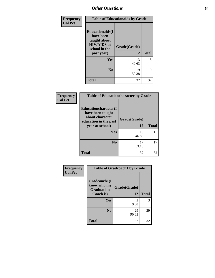| Frequency      | <b>Table of Educationaids by Grade</b>                                                                    |                    |              |  |
|----------------|-----------------------------------------------------------------------------------------------------------|--------------------|--------------|--|
| <b>Col Pct</b> | <b>Educationaids</b> (I<br>have been<br>taught about<br><b>HIV/AIDS</b> at<br>school in the<br>past year) | Grade(Grade)<br>12 | <b>Total</b> |  |
|                | Yes                                                                                                       | 13<br>40.63        | 13           |  |
|                | N <sub>0</sub>                                                                                            | 19<br>59.38        | 19           |  |
|                | <b>Total</b>                                                                                              | 32                 | 32           |  |

| Frequency<br><b>Col Pct</b> | <b>Table of Educationcharacter by Grade</b>                                                             |                    |              |  |  |
|-----------------------------|---------------------------------------------------------------------------------------------------------|--------------------|--------------|--|--|
|                             | Educationcharacter(I<br>have been taught<br>about character<br>education in the past<br>year at school) | Grade(Grade)<br>12 | <b>Total</b> |  |  |
|                             | <b>Yes</b>                                                                                              | 15<br>46.88        | 15           |  |  |
|                             | N <sub>0</sub>                                                                                          | 17<br>53.13        | 17           |  |  |
|                             | <b>Total</b>                                                                                            | 32                 | 32           |  |  |

| Frequency      | <b>Table of Gradcoach1 by Grade</b>              |              |              |  |  |
|----------------|--------------------------------------------------|--------------|--------------|--|--|
| <b>Col Pct</b> | Gradcoach1(I<br>know who my<br><b>Graduation</b> | Grade(Grade) |              |  |  |
|                | Coach is)                                        | 12           | <b>Total</b> |  |  |
|                | Yes                                              | 3<br>9.38    | 3            |  |  |
|                | N <sub>0</sub>                                   | 29<br>90.63  | 29           |  |  |
|                | <b>Total</b>                                     | 32           | 32           |  |  |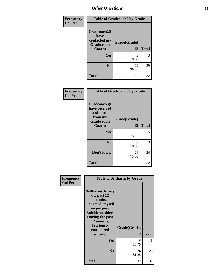| Frequency      |                                                                     | <b>Table of Gradcoach2 by Grade</b> |              |
|----------------|---------------------------------------------------------------------|-------------------------------------|--------------|
| <b>Col Pct</b> | Gradcoach2(I<br>have<br>contacted my<br><b>Graduation</b><br>Coach) | Grade(Grade)<br>12                  | <b>Total</b> |
|                | Yes                                                                 | 3<br>9.38                           | 3            |
|                | N <sub>0</sub>                                                      | 29<br>90.63                         | 29           |
|                | <b>Total</b>                                                        | 32                                  | 32           |

| Frequency<br><b>Col Pct</b> |                                                                                       | <b>Table of Gradcoach3 by Grade</b> |              |
|-----------------------------|---------------------------------------------------------------------------------------|-------------------------------------|--------------|
|                             | Gradcoach3(I<br>have received<br>assistance<br>from my<br><b>Graduation</b><br>Coach) | Grade(Grade)<br>12                  | <b>Total</b> |
|                             | Yes                                                                                   | 5                                   | 5            |
|                             |                                                                                       | 15.63                               |              |
|                             | N <sub>0</sub>                                                                        | 3<br>9.38                           | 3            |
|                             | Don't know                                                                            | 24<br>75.00                         | 24           |
|                             | <b>Total</b>                                                                          | 32                                  | 32           |

| Frequency      |                                                                                                                                                                                 | <b>Table of Selfharm by Grade</b> |              |
|----------------|---------------------------------------------------------------------------------------------------------------------------------------------------------------------------------|-----------------------------------|--------------|
| <b>Col Pct</b> | <b>Selfharm</b> (During<br>the past 12<br>months,<br>I harmed myself<br>on purpose<br>Suicideconsider<br>During the past<br>12 months,<br>I seriously<br>considered<br>suicide) | Grade(Grade)<br>12                | <b>Total</b> |
|                | Yes                                                                                                                                                                             | 6<br>18.75                        | 6            |
|                | N <sub>0</sub>                                                                                                                                                                  | 26<br>81.25                       | 26           |
|                | <b>Total</b>                                                                                                                                                                    | 32                                | 32           |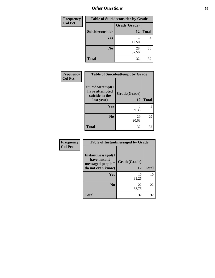| <b>Frequency</b> | <b>Table of Suicideconsider by Grade</b> |              |              |  |
|------------------|------------------------------------------|--------------|--------------|--|
| <b>Col Pct</b>   |                                          | Grade(Grade) |              |  |
|                  | Suicideconsider                          | 12           | <b>Total</b> |  |
|                  | <b>Yes</b>                               | 12.50        | 4            |  |
|                  | N <sub>0</sub>                           | 28<br>87.50  | 28           |  |
|                  | <b>Total</b>                             | 32           | 32           |  |

| Frequency      | <b>Table of Suicideattempt by Grade</b>              |              |              |  |  |
|----------------|------------------------------------------------------|--------------|--------------|--|--|
| <b>Col Pct</b> | Suicideattempt(I<br>have attempted<br>suicide in the | Grade(Grade) |              |  |  |
|                | last year)                                           | 12           | <b>Total</b> |  |  |
|                | Yes                                                  | 3<br>9.38    |              |  |  |
|                | N <sub>0</sub>                                       | 29<br>90.63  | 29           |  |  |
|                | Total                                                | 32           | 32           |  |  |

| Frequency      | <b>Table of Instantmessaged by Grade</b>                                            |                    |              |  |  |  |  |
|----------------|-------------------------------------------------------------------------------------|--------------------|--------------|--|--|--|--|
| <b>Col Pct</b> | <b>Instantmessaged</b> (I<br>have instant<br>messaged people I<br>do not even know) | Grade(Grade)<br>12 | <b>Total</b> |  |  |  |  |
|                | Yes                                                                                 | 10<br>31.25        | 10           |  |  |  |  |
|                | N <sub>0</sub>                                                                      | 22<br>68.75        | 22           |  |  |  |  |
|                | <b>Total</b>                                                                        | 32                 | 32           |  |  |  |  |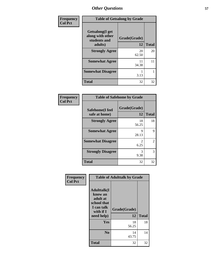| Frequency      |                                                                        | <b>Table of Getsalong by Grade</b> |              |
|----------------|------------------------------------------------------------------------|------------------------------------|--------------|
| <b>Col Pct</b> | <b>Getsalong</b> (I get<br>along with other<br>students and<br>adults) | Grade(Grade)<br>12                 | <b>Total</b> |
|                | <b>Strongly Agree</b>                                                  | 20<br>62.50                        | 20           |
|                | <b>Somewhat Agree</b>                                                  | 11<br>34.38                        | 11           |
|                | <b>Somewhat Disagree</b>                                               | 3.13                               | 1            |
|                | <b>Total</b>                                                           | 32                                 | 32           |

### **Frequency Col Pct**

| <b>Table of Safehome by Grade</b> |              |               |  |  |  |  |  |
|-----------------------------------|--------------|---------------|--|--|--|--|--|
| Safehome(I feel                   | Grade(Grade) |               |  |  |  |  |  |
| safe at home)                     | 12           | <b>Total</b>  |  |  |  |  |  |
| <b>Strongly Agree</b>             | 18<br>56.25  | 18            |  |  |  |  |  |
| <b>Somewhat Agree</b>             | 9<br>28.13   | 9             |  |  |  |  |  |
| <b>Somewhat Disagree</b>          | 2<br>6.25    | $\mathcal{L}$ |  |  |  |  |  |
| <b>Strongly Disagree</b>          | 3<br>9.38    | 3             |  |  |  |  |  |
| Total                             | 32           | 32            |  |  |  |  |  |

| Frequency      | <b>Table of Adulttalk by Grade</b>                                                                |                    |              |  |  |  |  |
|----------------|---------------------------------------------------------------------------------------------------|--------------------|--------------|--|--|--|--|
| <b>Col Pct</b> | <b>Adulttalk(I</b><br>know an<br>adult at<br>school that<br>I can talk<br>with if I<br>need help) | Grade(Grade)<br>12 | <b>Total</b> |  |  |  |  |
|                | Yes                                                                                               | 18<br>56.25        | 18           |  |  |  |  |
|                | N <sub>0</sub>                                                                                    | 14<br>43.75        | 14           |  |  |  |  |
|                | <b>Total</b>                                                                                      | 32                 | 32           |  |  |  |  |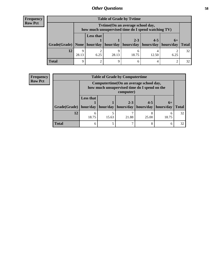| Frequency<br><b>Row Pct</b> | <b>Table of Grade by Tvtime</b> |       |                  |       |                                                                                        |         |                               |              |  |  |  |
|-----------------------------|---------------------------------|-------|------------------|-------|----------------------------------------------------------------------------------------|---------|-------------------------------|--------------|--|--|--|
|                             |                                 |       |                  |       | Tvtime(On an average school day,<br>how much unsupervised time do I spend watching TV) |         |                               |              |  |  |  |
|                             | Grade(Grade)   None             |       | <b>Less that</b> |       | $2 - 3$<br>$hour/day$   hour/day   hours/day                                           | $4 - 5$ | $6+$<br>hours/day   hours/day | <b>Total</b> |  |  |  |
|                             | 12                              | 28.13 | 6.25             | 28.13 | 18.75                                                                                  | 12.50   | 6.25                          | 32           |  |  |  |
|                             | <b>Total</b>                    |       | ◠                | q     |                                                                                        |         | ◠                             | 32           |  |  |  |

| <b>Frequency</b> | <b>Table of Grade by Computertime</b> |                  |                                                                                                      |                      |                      |                   |              |  |  |
|------------------|---------------------------------------|------------------|------------------------------------------------------------------------------------------------------|----------------------|----------------------|-------------------|--------------|--|--|
| <b>Row Pct</b>   |                                       |                  | Computertime (On an average school day,<br>how much unsupervised time do I spend on the<br>computer) |                      |                      |                   |              |  |  |
|                  | Grade(Grade)   hour/day               | <b>Less that</b> | hour/day                                                                                             | $2 - 3$<br>hours/day | $4 - 5$<br>hours/day | $6+$<br>hours/day | <b>Total</b> |  |  |
|                  | 12                                    | 6<br>18.75       | 15.63                                                                                                | 21.88                | 8<br>25.00           | 6<br>18.75        | 32           |  |  |
|                  | <b>Total</b>                          | 6                |                                                                                                      |                      | 8                    | 6                 | 32           |  |  |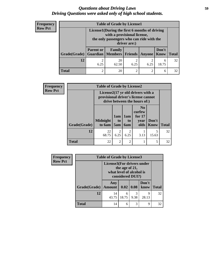## *Questions about Driving Laws* **59** *Driving Questions were asked only of high school students.*

| Frequency      |  |
|----------------|--|
| <b>Row Pct</b> |  |

| <b>Table of Grade by License1</b> |                              |                                                                                                                                           |                |                |               |              |  |  |  |
|-----------------------------------|------------------------------|-------------------------------------------------------------------------------------------------------------------------------------------|----------------|----------------|---------------|--------------|--|--|--|
|                                   |                              | License1(During the first 6 months of driving<br>with a provisional license,<br>the only passengers who can ride with the<br>driver are:) |                |                |               |              |  |  |  |
| <b>Grade</b> (Grade)              | <b>Parent or</b><br>Guardian | <b>Family</b><br><b>Members</b> Friends                                                                                                   |                | Anyone         | Don't<br>Know | <b>Total</b> |  |  |  |
| 12                                | 6.25                         | 20<br>62.50                                                                                                                               | 6.25           | 2<br>6.25      | 6<br>18.75    | 32           |  |  |  |
| <b>Total</b>                      | 2                            | 20                                                                                                                                        | $\mathfrak{D}$ | $\overline{2}$ | 6             | 32           |  |  |  |

| Frequency      |              | <b>Table of Grade by License2</b>   |                  |                             |                                                                   |               |              |  |  |  |
|----------------|--------------|-------------------------------------|------------------|-----------------------------|-------------------------------------------------------------------|---------------|--------------|--|--|--|
| <b>Row Pct</b> |              | provisional driver's license cannot |                  |                             | License2(17 yr old drivers with a<br>drive between the hours of:) |               |              |  |  |  |
|                | Grade(Grade) | <b>Midnight</b><br>to 6am           | 1am<br>to<br>5am | $\blacksquare$<br>to<br>6am | N <sub>0</sub><br>curfew<br>for $17$<br>year<br>olds              | Don't<br>Know | <b>Total</b> |  |  |  |
|                | 12           | 22<br>68.75                         | 6.25             | 6.25                        | 3.13                                                              | 5<br>15.63    | 32           |  |  |  |
|                | <b>Total</b> | 22                                  | $\overline{2}$   | $\overline{2}$              |                                                                   | 5             | 32           |  |  |  |

| <b>Frequency</b> | <b>Table of Grade by License3</b> |               |                                                                                              |           |               |              |  |  |
|------------------|-----------------------------------|---------------|----------------------------------------------------------------------------------------------|-----------|---------------|--------------|--|--|
| <b>Row Pct</b>   |                                   |               | License3(For drivers under<br>the age of 21,<br>what level of alcohol is<br>considered DUI?) |           |               |              |  |  |
|                  | Grade(Grade)                      | Any<br>Amount | 0.02                                                                                         | 0.08      | Don't<br>know | <b>Total</b> |  |  |
|                  | 12                                | 14<br>43.75   | 6<br>18.75                                                                                   | 3<br>9.38 | 9<br>28.13    | 32           |  |  |
|                  | <b>Total</b>                      | 14            | 6                                                                                            | 3         | 9             | 32           |  |  |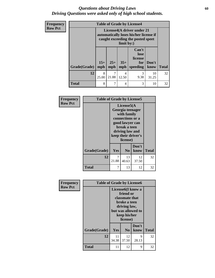### *Questions about Driving Laws* **60** *Driving Questions were asked only of high school students.*

| Frequency      | <b>Table of Grade by License4</b> |                                                                                                                         |              |              |                                             |               |              |  |
|----------------|-----------------------------------|-------------------------------------------------------------------------------------------------------------------------|--------------|--------------|---------------------------------------------|---------------|--------------|--|
| <b>Row Pct</b> |                                   | License4(A driver under 21<br>automatically loses his/her license if<br>caught exceeding the posted speet<br>limit by:) |              |              |                                             |               |              |  |
|                | Grade(Grade)                      | $15+$<br>mph                                                                                                            | $25+$<br>mph | $35+$<br>mph | Can't<br>lose<br>license<br>for<br>speeding | Don't<br>know | <b>Total</b> |  |
|                | 12                                | 8<br>25.00                                                                                                              | 21.88        | 4<br>12.50   | 3<br>9.38                                   | 10<br>31.25   | 32           |  |
|                | <b>Total</b>                      | 8                                                                                                                       | 7            | 4            | 3                                           | 10            | 32           |  |

| Frequency<br><b>Row Pct</b> | <b>Table of Grade by License5</b> |                                                                                                                                                             |                |               |              |
|-----------------------------|-----------------------------------|-------------------------------------------------------------------------------------------------------------------------------------------------------------|----------------|---------------|--------------|
|                             |                                   | License5(A)<br>Georgia teenager<br>with family<br>connections or a<br>good lawyer can<br>break a teen<br>driving law and<br>keep their driver's<br>license) |                |               |              |
|                             | Grade(Grade)                      | Yes                                                                                                                                                         | N <sub>0</sub> | Don't<br>know | <b>Total</b> |
|                             | 12                                | 7<br>21.88                                                                                                                                                  | 13<br>40.63    | 12<br>37.50   | 32           |
|                             | <b>Total</b>                      | 7                                                                                                                                                           | 13             | 12            | 32           |

| Frequency      | <b>Table of Grade by License6</b> |                                                                                                                                                 |                |               |              |
|----------------|-----------------------------------|-------------------------------------------------------------------------------------------------------------------------------------------------|----------------|---------------|--------------|
| <b>Row Pct</b> |                                   | License <sub>6</sub> (I know a<br>friend or<br>classmate that<br>broke a teen<br>driving law,<br>but was allowed to<br>keep his/her<br>license) |                |               |              |
|                | Grade(Grade)                      | Yes                                                                                                                                             | N <sub>0</sub> | Don't<br>know | <b>Total</b> |
|                | 12                                | 11<br>34.38                                                                                                                                     | 12<br>37.50    | 9<br>28.13    | 32           |
|                | <b>Total</b>                      | 11                                                                                                                                              | 12             | 9             | 32           |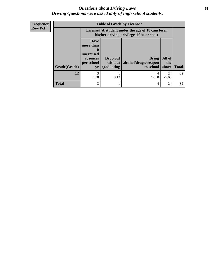## *Questions about Driving Laws* **61** *Driving Questions were asked only of high school students.*

**Frequency Row Pct**

|              | <b>Table of Grade by License7</b>                                           |                                                                                               |                                                   |                        |              |  |
|--------------|-----------------------------------------------------------------------------|-----------------------------------------------------------------------------------------------|---------------------------------------------------|------------------------|--------------|--|
|              |                                                                             | License7(A student under the age of 18 cam loser<br>his/her driving privileges if he or she:) |                                                   |                        |              |  |
| Grade(Grade) | <b>Have</b><br>more than<br>10<br>unexcused<br>absences<br>per school<br>yr | Drop out<br>without<br>graduating                                                             | <b>Bring</b><br>alcohol/drugs/weapon<br>to school | All of<br>the<br>above | <b>Total</b> |  |
| 12           | 3<br>9.38                                                                   | 3.13                                                                                          | 12.50                                             | 24<br>75.00            | 32           |  |
| <b>Total</b> | 3                                                                           |                                                                                               | 4                                                 | 24                     | 32           |  |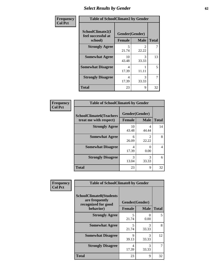# *Select Results by Gender* **62**

| Frequency      | <b>Table of SchoolClimate2 by Gender</b>          |                                 |                                      |              |
|----------------|---------------------------------------------------|---------------------------------|--------------------------------------|--------------|
| <b>Col Pct</b> | SchoolClimate2(I<br>feel successful at<br>school) | Gender(Gender)<br><b>Female</b> | <b>Male</b>                          | <b>Total</b> |
|                | <b>Strongly Agree</b>                             | 5<br>21.74                      | $\mathcal{D}_{\mathcal{L}}$<br>22.22 | 7            |
|                | <b>Somewhat Agree</b>                             | 10<br>43.48                     | 3<br>33.33                           | 13           |
|                | <b>Somewhat Disagree</b>                          | 4<br>17.39                      | 11.11                                | 5            |
|                | <b>Strongly Disagree</b>                          | 4<br>17.39                      | 3<br>33.33                           | 7            |
|                | <b>Total</b>                                      | 23                              | 9                                    | 32           |

| <b>Frequency</b> | <b>Table of SchoolClimate6 by Gender</b>                 |                                 |                        |                |  |
|------------------|----------------------------------------------------------|---------------------------------|------------------------|----------------|--|
| <b>Col Pct</b>   | <b>SchoolClimate6(Teachers</b><br>treat me with respect) | Gender(Gender)<br><b>Female</b> | <b>Male</b>            | <b>Total</b>   |  |
|                  | <b>Strongly Agree</b>                                    | 10<br>43.48                     | 4<br>44.44             | 14             |  |
|                  | <b>Somewhat Agree</b>                                    | 6<br>26.09                      | $\mathcal{D}$<br>22.22 | 8              |  |
|                  | <b>Somewhat Disagree</b>                                 | 4<br>17.39                      | $\mathbf{0}$<br>0.00   | $\overline{4}$ |  |
|                  | <b>Strongly Disagree</b>                                 | 3<br>13.04                      | 3<br>33.33             | 6              |  |
|                  | <b>Total</b>                                             | 23                              | 9                      | 32             |  |

| Frequency      | <b>Table of SchoolClimate8 by Gender</b>                                             |                      |                               |              |
|----------------|--------------------------------------------------------------------------------------|----------------------|-------------------------------|--------------|
| <b>Col Pct</b> | <b>SchoolClimate8(Students</b><br>are frequently<br>recognized for good<br>behavior) | <b>Female</b>        | Gender(Gender)<br><b>Male</b> | <b>Total</b> |
|                | <b>Strongly Agree</b>                                                                | 5<br>21.74           | 0<br>0.00                     | 5.           |
|                | <b>Somewhat Agree</b>                                                                | 5<br>21.74           | 3<br>33.33                    | 8            |
|                | <b>Somewhat Disagree</b>                                                             | $\mathbf Q$<br>39.13 | $\mathcal{R}$<br>33.33        | 12           |
|                | <b>Strongly Disagree</b>                                                             | 4<br>17.39           | 3<br>33.33                    | 7            |
|                | Total                                                                                | 23                   | 9                             | 32           |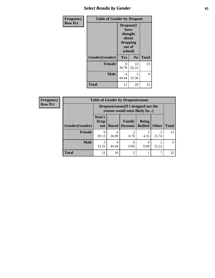# *Select Results by Gender* **63**

| Frequency      | <b>Table of Gender by Dropout</b> |                                                                        |                |              |
|----------------|-----------------------------------|------------------------------------------------------------------------|----------------|--------------|
| <b>Row Pct</b> |                                   | Dropout(I<br>have<br>thought<br>about<br>dropping<br>out of<br>school) |                |              |
|                | Gender(Gender)                    | Yes                                                                    | N <sub>0</sub> | <b>Total</b> |
|                | <b>Female</b>                     | 8<br>34.78                                                             | 15<br>65.22    | 23           |
|                | <b>Male</b>                       | 4<br>44.44                                                             | 5<br>55.56     | 9            |
|                | <b>Total</b>                      | 12                                                                     | 20             | 32           |

| <b>Frequency</b> |                | <b>Table of Gender by Dropoutreason</b>                            |              |                                 |                                |              |              |
|------------------|----------------|--------------------------------------------------------------------|--------------|---------------------------------|--------------------------------|--------------|--------------|
| <b>Row Pct</b>   |                | Dropoutreason(If I dropped out the<br>reason would most likely be) |              |                                 |                                |              |              |
|                  | Gender(Gender) | Won't<br><b>Drop</b><br>out                                        | <b>Bored</b> | <b>Family</b><br><b>Reasons</b> | <b>Being</b><br><b>Bullied</b> | <b>Other</b> | <b>Total</b> |
|                  | <b>Female</b>  | Q<br>39.13                                                         | 6<br>26.09   | 8.70                            | 4.35                           | 21.74        | 23           |
|                  | <b>Male</b>    | 3<br>33.33                                                         | 4<br>44.44   | 0.00                            | 0.00                           | റ<br>22.22   | $\mathbf{Q}$ |
|                  | Total          | 12                                                                 | 10           | ာ                               |                                | ⇁            | 32           |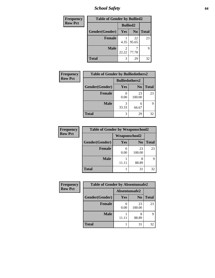*School Safety* **64**

| Frequency      | <b>Table of Gender by Bullied2</b> |                 |                |              |  |
|----------------|------------------------------------|-----------------|----------------|--------------|--|
| <b>Row Pct</b> |                                    | <b>Bullied2</b> |                |              |  |
|                | Gender(Gender)                     | Yes             | N <sub>0</sub> | <b>Total</b> |  |
|                | <b>Female</b>                      | 4.35            | 22<br>95.65    | 23           |  |
|                | <b>Male</b>                        | 22.22           | 77.78          | 9            |  |
|                | <b>Total</b>                       | 3               | 29             | 32           |  |

| <b>Frequency</b> | <b>Table of Gender by Bulliedothers2</b> |                       |              |              |  |
|------------------|------------------------------------------|-----------------------|--------------|--------------|--|
| <b>Row Pct</b>   |                                          | <b>Bulliedothers2</b> |              |              |  |
|                  | Gender(Gender)                           | <b>Yes</b>            | $\bf N_0$    | <b>Total</b> |  |
|                  | <b>Female</b>                            | 0.00                  | 23<br>100.00 | 23           |  |
|                  | <b>Male</b>                              | 3<br>33.33            | 6<br>66.67   |              |  |
|                  | <b>Total</b>                             | 3                     | 29           | 32           |  |

| Frequency      | <b>Table of Gender by Weaponschool2</b> |                      |                |              |  |
|----------------|-----------------------------------------|----------------------|----------------|--------------|--|
| <b>Row Pct</b> |                                         | <b>Weaponschool2</b> |                |              |  |
|                | Gender(Gender)                          | Yes                  | N <sub>0</sub> | <b>Total</b> |  |
|                | <b>Female</b>                           | 0.00                 | 23<br>100.00   | 23           |  |
|                | <b>Male</b>                             | 11.11                | 8<br>88.89     | q            |  |
|                | <b>Total</b>                            |                      | 31             | 32           |  |

| Frequency      | <b>Table of Gender by Absentunsafe2</b> |               |                |              |
|----------------|-----------------------------------------|---------------|----------------|--------------|
| <b>Row Pct</b> |                                         | Absentunsafe2 |                |              |
|                | Gender(Gender)                          | Yes           | N <sub>0</sub> | <b>Total</b> |
|                | <b>Female</b>                           | 0.00          | 23<br>100.00   | 23           |
|                | <b>Male</b>                             | 11.11         | 8<br>88.89     | 9            |
|                | <b>Total</b>                            |               | 31             | 32           |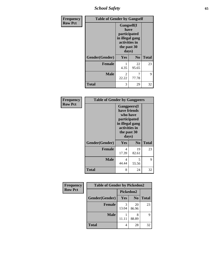*School Safety* **65**

| Frequency      | <b>Table of Gender by Gangself</b> |                                                                                                        |                |              |
|----------------|------------------------------------|--------------------------------------------------------------------------------------------------------|----------------|--------------|
| <b>Row Pct</b> |                                    | <b>Gangself</b> (I<br>have<br>participated<br>in illegal gang<br>activities in<br>the past 30<br>days) |                |              |
|                | Gender(Gender)                     | Yes                                                                                                    | N <sub>0</sub> | <b>Total</b> |
|                | <b>Female</b>                      | 4.35                                                                                                   | 22<br>95.65    | 23           |
|                | <b>Male</b>                        | 2<br>22.22                                                                                             | 7<br>77.78     | 9            |
|                | <b>Total</b>                       | 3                                                                                                      | 29             | 32           |

| Frequency      | <b>Table of Gender by Gangpeers</b> |                                                                                                                             |                |              |
|----------------|-------------------------------------|-----------------------------------------------------------------------------------------------------------------------------|----------------|--------------|
| <b>Row Pct</b> |                                     | <b>Gangpeers</b> (I<br>have friends<br>who have<br>participated<br>in illegal gang<br>activities in<br>the past 30<br>days) |                |              |
|                | Gender(Gender)                      | <b>Yes</b>                                                                                                                  | N <sub>0</sub> | <b>Total</b> |
|                | <b>Female</b>                       | 4<br>17.39                                                                                                                  | 19<br>82.61    | 23           |
|                | <b>Male</b>                         | 4<br>44.44                                                                                                                  | 5<br>55.56     | 9            |
|                | <b>Total</b>                        | 8                                                                                                                           | 24             | 32           |

| Frequency      | <b>Table of Gender by Pickedon2</b> |            |                |              |
|----------------|-------------------------------------|------------|----------------|--------------|
| <b>Row Pct</b> |                                     | Pickedon2  |                |              |
|                | Gender(Gender)                      | <b>Yes</b> | N <sub>0</sub> | <b>Total</b> |
|                | <b>Female</b>                       | 3<br>13.04 | 20<br>86.96    | 23           |
|                | <b>Male</b>                         | 11.1       | 88.89          | 9            |
|                | <b>Total</b>                        | 4          | 28             | 32           |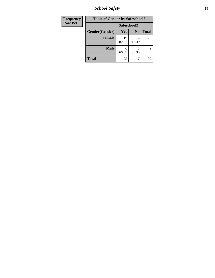*School Safety* **66**

| Frequency      | <b>Table of Gender by Safeschool2</b> |             |                |              |
|----------------|---------------------------------------|-------------|----------------|--------------|
| <b>Row Pct</b> |                                       | Safeschool2 |                |              |
|                | Gender(Gender)                        | <b>Yes</b>  | N <sub>0</sub> | <b>Total</b> |
|                | <b>Female</b>                         | 19<br>82.61 | 4<br>17.39     | 23           |
|                | <b>Male</b>                           | 6<br>66.67  | 3<br>33.33     | 9            |
|                | <b>Total</b>                          | 25          |                | 32           |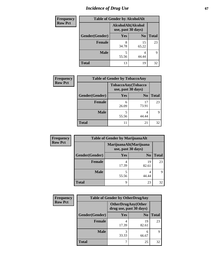# *Incidence of Drug Use* 67

| <b>Frequency</b> | <b>Table of Gender by AlcoholAlt</b> |                                          |                |              |  |
|------------------|--------------------------------------|------------------------------------------|----------------|--------------|--|
| <b>Row Pct</b>   |                                      | AlcoholAlt(Alcohol<br>use, past 30 days) |                |              |  |
|                  | Gender(Gender)                       | Yes                                      | N <sub>0</sub> | <b>Total</b> |  |
|                  | <b>Female</b>                        | 8<br>34.78                               | 15<br>65.22    | 23           |  |
|                  | <b>Male</b>                          | 5<br>55.56                               | 4<br>44.44     | 9            |  |
|                  | <b>Total</b>                         | 13                                       | 19             | 32           |  |

| Frequency      | <b>Table of Gender by TobaccoAny</b> |                                          |                |              |  |
|----------------|--------------------------------------|------------------------------------------|----------------|--------------|--|
| <b>Row Pct</b> |                                      | TobaccoAny(Tobacco<br>use, past 30 days) |                |              |  |
|                | Gender(Gender)                       | Yes                                      | N <sub>0</sub> | <b>Total</b> |  |
|                | <b>Female</b>                        | 6<br>26.09                               | 17<br>73.91    | 23           |  |
|                | <b>Male</b>                          | 5<br>55.56                               | 44.44          | 9            |  |
|                | <b>Total</b>                         | 11                                       | 21             | 32           |  |

| <b>Frequency</b> |                | <b>Table of Gender by MarijuanaAlt</b> |                                              |       |
|------------------|----------------|----------------------------------------|----------------------------------------------|-------|
| <b>Row Pct</b>   |                |                                        | MarijuanaAlt(Marijuana<br>use, past 30 days) |       |
|                  | Gender(Gender) | <b>Yes</b>                             | N <sub>0</sub>                               | Total |
|                  | Female         | 4<br>17.39                             | 19<br>82.61                                  | 23    |
|                  | <b>Male</b>    | 5<br>55.56                             | 4<br>44.44                                   | Q     |
|                  | <b>Total</b>   | 9                                      | 23                                           | 32    |

| <b>Frequency</b> | <b>Table of Gender by OtherDrugAny</b> |                                                      |                |              |
|------------------|----------------------------------------|------------------------------------------------------|----------------|--------------|
| <b>Row Pct</b>   |                                        | <b>OtherDrugAny(Other</b><br>drug use, past 30 days) |                |              |
|                  | Gender(Gender)                         | <b>Yes</b>                                           | N <sub>0</sub> | <b>Total</b> |
|                  | <b>Female</b>                          | 17.39                                                | 19<br>82.61    | 23           |
|                  | <b>Male</b>                            | 3<br>33.33                                           | 6<br>66.67     |              |
|                  | <b>Total</b>                           |                                                      | 25             | 32           |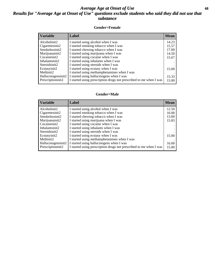## *Average Age at Onset of Use* **68** *Results for "Average Age at Onset of Use" questions exclude students who said they did not use that substance*

### **Gender=Female**

| <b>Variable</b>                 | Label                                                              | <b>Mean</b> |
|---------------------------------|--------------------------------------------------------------------|-------------|
| Alcoholinit2                    | I started using alcohol when I was                                 | 14.23       |
| Cigarettesinit2                 | I started smoking tobacco when I was                               | 15.57       |
| Smokelessinit2                  | I started chewing tobacco when I was                               | 17.00       |
| Marijuanainit2                  | I started using marijuana when I was                               | 14.50       |
| Cocaineinit2                    | I started using cocaine when I was                                 | 15.67       |
| Inhalantsinit2                  | I started using inhalants when I was                               |             |
| Steroidsinit2                   | I started using steroids when I was                                | $\cdot$     |
| Ecstasyinit2                    | I started using ecstasy when I was                                 | 15.00       |
| Methinit2                       | I started using methamphetamines when I was                        |             |
| Hallucinogensinit2              | I started using hallucinogens when I was                           | 15.33       |
| Prescription in it <sub>2</sub> | I started using prescription drugs not prescribed to me when I was | 15.00       |

#### **Gender=Male**

| <b>Variable</b>    | Label                                                              | <b>Mean</b> |
|--------------------|--------------------------------------------------------------------|-------------|
| Alcoholinit2       | I started using alcohol when I was                                 | 12.50       |
| Cigarettesinit2    | I started smoking tobacco when I was                               | 16.00       |
| Smokelessinit2     | I started chewing tobacco when I was                               | 13.00       |
| Marijuanainit2     | I started using marijuana when I was                               | 15.83       |
| Cocaineinit2       | I started using cocaine when I was                                 |             |
| Inhalantsinit2     | I started using inhalants when I was                               |             |
| Steroidsinit2      | I started using steroids when I was                                |             |
| Ecstasyinit2       | I started using ecstasy when I was                                 | 15.00       |
| Methinit2          | I started using methamphetamines when I was                        |             |
| Hallucinogensinit2 | I started using hallucinogens when I was                           | 16.00       |
| Prescriptioninit2  | I started using prescription drugs not prescribed to me when I was | 15.00       |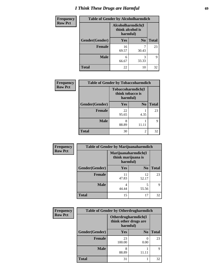# *I Think These Drugs are Harmful* **69**

| <b>Frequency</b> | <b>Table of Gender by Alcoholharmdich</b> |                                                   |                |              |
|------------------|-------------------------------------------|---------------------------------------------------|----------------|--------------|
| <b>Row Pct</b>   |                                           | Alcoholharmdich(I<br>think alcohol is<br>harmful) |                |              |
|                  | Gender(Gender)                            | <b>Yes</b>                                        | N <sub>0</sub> | <b>Total</b> |
|                  | <b>Female</b>                             | 16<br>69.57                                       | 30.43          | 23           |
|                  | <b>Male</b>                               | 6<br>66.67                                        | 3<br>33.33     | Q            |
|                  | <b>Total</b>                              | 22                                                | 10             | 32           |

| Frequency      | <b>Table of Gender by Tobaccoharmdich</b> |                                                   |                |              |
|----------------|-------------------------------------------|---------------------------------------------------|----------------|--------------|
| <b>Row Pct</b> |                                           | Tobaccoharmdich(I<br>think tobacco is<br>harmful) |                |              |
|                | Gender(Gender)                            | Yes                                               | N <sub>0</sub> | <b>Total</b> |
|                | <b>Female</b>                             | 22<br>95.65                                       | 4.35           | 23           |
|                | <b>Male</b>                               | 8<br>88.89                                        | 11.11          | 9            |
|                | <b>Total</b>                              | 30                                                | $\overline{c}$ | 32           |

| Frequency      | <b>Table of Gender by Marijuanaharmdich</b> |                                                       |                |              |
|----------------|---------------------------------------------|-------------------------------------------------------|----------------|--------------|
| <b>Row Pct</b> |                                             | Marijuanaharmdich(I<br>think marijuana is<br>harmful) |                |              |
|                | Gender(Gender)                              | <b>Yes</b>                                            | N <sub>0</sub> | <b>Total</b> |
|                | <b>Female</b>                               | 47.83                                                 | 12<br>52.17    | 23           |
|                | <b>Male</b>                                 | 4<br>44.44                                            | 5<br>55.56     | Q            |
|                | <b>Total</b>                                | 15                                                    | 17             | 32           |

| Frequency      | <b>Table of Gender by Otherdrugharmdich</b> |                                                          |                |              |
|----------------|---------------------------------------------|----------------------------------------------------------|----------------|--------------|
| <b>Row Pct</b> |                                             | Otherdrugharmdich(I<br>think other drugs are<br>harmful) |                |              |
|                | Gender(Gender)                              | <b>Yes</b>                                               | N <sub>0</sub> | <b>Total</b> |
|                | <b>Female</b>                               | 23<br>100.00                                             | 0<br>0.00      | 23           |
|                | <b>Male</b>                                 | 8<br>88.89                                               |                | 9            |
|                | <b>Total</b>                                | 31                                                       |                | 32           |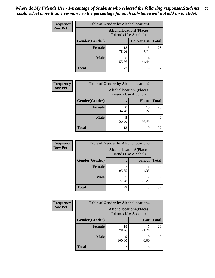| <b>Frequency</b> | <b>Table of Gender by Alcohollocation1</b> |                                                               |            |              |
|------------------|--------------------------------------------|---------------------------------------------------------------|------------|--------------|
| <b>Row Pct</b>   |                                            | <b>Alcohollocation1(Places</b><br><b>Friends Use Alcohol)</b> |            |              |
|                  | Gender(Gender)                             |                                                               | Do Not Use | <b>Total</b> |
|                  | <b>Female</b>                              | 18<br>78.26                                                   | 21.74      | 23           |
|                  | <b>Male</b>                                | 55.56                                                         | 44.44      | 9            |
|                  | <b>Total</b>                               | 23                                                            | Q          | 32           |

| <b>Frequency</b> | <b>Table of Gender by Alcohollocation2</b> |                                                               |             |              |
|------------------|--------------------------------------------|---------------------------------------------------------------|-------------|--------------|
| <b>Row Pct</b>   |                                            | <b>Alcohollocation2(Places</b><br><b>Friends Use Alcohol)</b> |             |              |
|                  | Gender(Gender)                             |                                                               | Home        | <b>Total</b> |
|                  | <b>Female</b>                              | 8<br>34.78                                                    | 15<br>65.22 | 23           |
|                  | <b>Male</b>                                | 55.56                                                         | 44.44       |              |
|                  | <b>Total</b>                               | 13                                                            | 19          | 32           |

| Frequency      | <b>Table of Gender by Alcohollocation3</b> |                                                               |               |              |
|----------------|--------------------------------------------|---------------------------------------------------------------|---------------|--------------|
| <b>Row Pct</b> |                                            | <b>Alcohollocation3(Places</b><br><b>Friends Use Alcohol)</b> |               |              |
|                | Gender(Gender)                             |                                                               | <b>School</b> | <b>Total</b> |
|                | <b>Female</b>                              | 22<br>95.65                                                   | 4.35          | 23           |
|                | <b>Male</b>                                | 77.78                                                         | 22.22         | Q            |
|                | <b>Total</b>                               | 29                                                            | 3             | 32           |

| Frequency      | <b>Table of Gender by Alcohollocation4</b> |                                                               |       |              |  |
|----------------|--------------------------------------------|---------------------------------------------------------------|-------|--------------|--|
| <b>Row Pct</b> |                                            | <b>Alcohollocation4(Places</b><br><b>Friends Use Alcohol)</b> |       |              |  |
|                | Gender(Gender)                             |                                                               | Car   | <b>Total</b> |  |
|                | <b>Female</b>                              | 18<br>78.26                                                   | 21.74 | 23           |  |
|                | <b>Male</b>                                | O<br>100.00                                                   | 0.00  | Q            |  |
|                | <b>Total</b>                               | 27                                                            | 5     | 32           |  |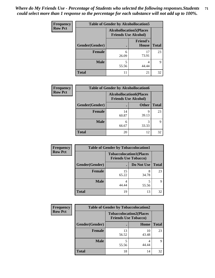| <b>Frequency</b> | <b>Table of Gender by Alcohollocation5</b> |                                                                |                                 |              |
|------------------|--------------------------------------------|----------------------------------------------------------------|---------------------------------|--------------|
| <b>Row Pct</b>   |                                            | <b>Alcohollocation5</b> (Places<br><b>Friends Use Alcohol)</b> |                                 |              |
|                  | Gender(Gender)                             |                                                                | <b>Friend's</b><br><b>House</b> | <b>Total</b> |
|                  | <b>Female</b>                              | 6<br>26.09                                                     | 17<br>73.91                     | 23           |
|                  | <b>Male</b>                                | 5<br>55.56                                                     | 44.44                           | Q            |
|                  | <b>Total</b>                               | 11                                                             | 21                              | 32           |

| <b>Frequency</b> | <b>Table of Gender by Alcohollocation6</b> |                                                               |              |              |  |
|------------------|--------------------------------------------|---------------------------------------------------------------|--------------|--------------|--|
| <b>Row Pct</b>   |                                            | <b>Alcohollocation6(Places</b><br><b>Friends Use Alcohol)</b> |              |              |  |
|                  | <b>Gender</b> (Gender)                     |                                                               | <b>Other</b> | <b>Total</b> |  |
|                  | <b>Female</b>                              | 14<br>60.87                                                   | q<br>39.13   | 23           |  |
|                  | <b>Male</b>                                | 6<br>66.67                                                    | 3<br>33.33   | q            |  |
|                  | <b>Total</b>                               | 20                                                            | 12           | 32           |  |

| Frequency      | <b>Table of Gender by Tobaccolocation1</b> |                                                               |            |              |
|----------------|--------------------------------------------|---------------------------------------------------------------|------------|--------------|
| <b>Row Pct</b> |                                            | <b>Tobaccolocation1(Places</b><br><b>Friends Use Tobacco)</b> |            |              |
|                | Gender(Gender)                             |                                                               | Do Not Use | <b>Total</b> |
|                | Female                                     | 15<br>65.22                                                   | 8<br>34.78 | 23           |
|                | <b>Male</b>                                | 44.44                                                         | 55.56      | 9            |
|                | <b>Total</b>                               | 19                                                            | 13         | 32           |

| <b>Frequency</b> | <b>Table of Gender by Tobaccolocation2</b> |                                                               |             |              |
|------------------|--------------------------------------------|---------------------------------------------------------------|-------------|--------------|
| <b>Row Pct</b>   |                                            | <b>Tobaccolocation2(Places</b><br><b>Friends Use Tobacco)</b> |             |              |
|                  | Gender(Gender)                             |                                                               | Home        | <b>Total</b> |
|                  | Female                                     | 13<br>56.52                                                   | 10<br>43.48 | 23           |
|                  | <b>Male</b>                                | 55.56                                                         | 44.44       | 9            |
|                  | <b>Total</b>                               | 18                                                            | 14          | 32           |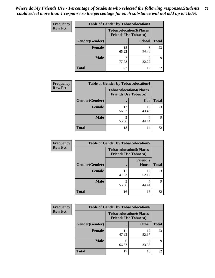| <b>Frequency</b> | <b>Table of Gender by Tobaccolocation3</b> |                             |                                |              |
|------------------|--------------------------------------------|-----------------------------|--------------------------------|--------------|
| <b>Row Pct</b>   |                                            | <b>Friends Use Tobacco)</b> | <b>Tobaccolocation3(Places</b> |              |
|                  | Gender(Gender)                             |                             | <b>School</b>                  | <b>Total</b> |
|                  | <b>Female</b>                              | 15<br>65.22                 | 34.78                          | 23           |
|                  | <b>Male</b>                                | 77.78                       | ◠<br>22.22                     | Q            |
|                  | <b>Total</b>                               | 22                          | 10                             | 32           |

| <b>Frequency</b> | <b>Table of Gender by Tobaccolocation4</b> |                                                               |             |              |  |
|------------------|--------------------------------------------|---------------------------------------------------------------|-------------|--------------|--|
| <b>Row Pct</b>   |                                            | <b>Tobaccolocation4(Places</b><br><b>Friends Use Tobacco)</b> |             |              |  |
|                  | Gender(Gender)                             |                                                               | Car         | <b>Total</b> |  |
|                  | <b>Female</b>                              | 13<br>56.52                                                   | 10<br>43.48 | 23           |  |
|                  | <b>Male</b>                                | 55.56                                                         | 44.44       | Q            |  |
|                  | <b>Total</b>                               | 18                                                            | 14          | 32           |  |

| <b>Frequency</b> | <b>Table of Gender by Tobaccolocation5</b> |                                                               |                                 |              |
|------------------|--------------------------------------------|---------------------------------------------------------------|---------------------------------|--------------|
| <b>Row Pct</b>   |                                            | <b>Tobaccolocation5(Places</b><br><b>Friends Use Tobacco)</b> |                                 |              |
|                  | Gender(Gender)                             |                                                               | <b>Friend's</b><br><b>House</b> | <b>Total</b> |
|                  | <b>Female</b>                              | 11<br>47.83                                                   | 12<br>52.17                     | 23           |
|                  | <b>Male</b>                                | 55.56                                                         | 44.44                           | $\mathbf Q$  |
|                  | <b>Total</b>                               | 16                                                            | 16                              | 32           |

| <b>Frequency</b> | <b>Table of Gender by Tobaccolocation6</b> |                                                               |              |              |
|------------------|--------------------------------------------|---------------------------------------------------------------|--------------|--------------|
| <b>Row Pct</b>   |                                            | <b>Tobaccolocation6(Places</b><br><b>Friends Use Tobacco)</b> |              |              |
|                  | Gender(Gender)                             |                                                               | <b>Other</b> | <b>Total</b> |
|                  | Female                                     | 47.83                                                         | 12<br>52.17  | 23           |
|                  | <b>Male</b>                                | 66.67                                                         | 33.33        | 9            |
|                  | <b>Total</b>                               | 17                                                            | 15           | 32           |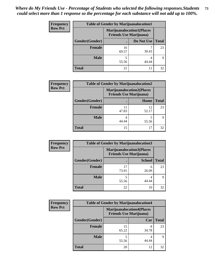| <b>Frequency</b> | <b>Table of Gender by Marijuanalocation1</b> |                                |                                  |              |
|------------------|----------------------------------------------|--------------------------------|----------------------------------|--------------|
| <b>Row Pct</b>   |                                              | <b>Friends Use Marijuana</b> ) | <b>Marijuanalocation1(Places</b> |              |
|                  | <b>Gender</b> (Gender)                       |                                | Do Not Use                       | <b>Total</b> |
|                  | <b>Female</b>                                | 16<br>69.57                    | 30.43                            | 23           |
|                  | <b>Male</b>                                  | 55.56                          | 44.44                            | 9            |
|                  | <b>Total</b>                                 | 21                             |                                  | 32           |

| <b>Frequency</b> | <b>Table of Gender by Marijuanalocation2</b> |                                                                    |             |              |  |
|------------------|----------------------------------------------|--------------------------------------------------------------------|-------------|--------------|--|
| <b>Row Pct</b>   |                                              | <b>Marijuanalocation2(Places</b><br><b>Friends Use Marijuana</b> ) |             |              |  |
|                  | Gender(Gender)                               |                                                                    | Home        | <b>Total</b> |  |
|                  | Female                                       | 11<br>47.83                                                        | 12<br>52.17 | 23           |  |
|                  | <b>Male</b>                                  | 44.44                                                              | 55.56       | Q            |  |
|                  | <b>Total</b>                                 | 15                                                                 | 17          | 32           |  |

| Frequency      | <b>Table of Gender by Marijuanalocation3</b> |                                                                    |               |              |
|----------------|----------------------------------------------|--------------------------------------------------------------------|---------------|--------------|
| <b>Row Pct</b> |                                              | <b>Marijuanalocation3(Places</b><br><b>Friends Use Marijuana</b> ) |               |              |
|                | Gender(Gender)                               |                                                                    | <b>School</b> | <b>Total</b> |
|                | Female                                       | 17<br>73.91                                                        | 6<br>26.09    | 23           |
|                | <b>Male</b>                                  | 55.56                                                              | 44.44         | Q            |
|                | <b>Total</b>                                 | 22                                                                 | 10            | 32           |

| <b>Frequency</b> | <b>Table of Gender by Marijuanalocation4</b> |                                                                     |            |              |
|------------------|----------------------------------------------|---------------------------------------------------------------------|------------|--------------|
| <b>Row Pct</b>   |                                              | <b>Marijuanalocation4(Places)</b><br><b>Friends Use Marijuana</b> ) |            |              |
|                  | Gender(Gender)                               |                                                                     | Car        | <b>Total</b> |
|                  | Female                                       | 15<br>65.22                                                         | 8<br>34.78 | 23           |
|                  | <b>Male</b>                                  | 55.56                                                               | 44.44      | 9            |
|                  | <b>Total</b>                                 | 20                                                                  | 12         | 32           |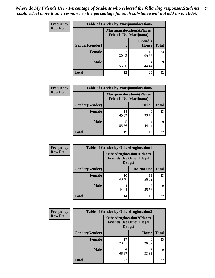| Frequency      | <b>Table of Gender by Marijuanalocation5</b> |                                                                     |                                 |              |
|----------------|----------------------------------------------|---------------------------------------------------------------------|---------------------------------|--------------|
| <b>Row Pct</b> |                                              | <b>Marijuanalocation5</b> (Places<br><b>Friends Use Marijuana</b> ) |                                 |              |
|                | Gender(Gender)                               |                                                                     | <b>Friend's</b><br><b>House</b> | <b>Total</b> |
|                | <b>Female</b>                                | 30.43                                                               | 16<br>69.57                     | 23           |
|                | <b>Male</b>                                  | 55.56                                                               | 44.44                           | Q            |
|                | <b>Total</b>                                 | 12                                                                  | 20                              | 32           |

| <b>Frequency</b> | <b>Table of Gender by Marijuanalocation6</b> |                                                                    |              |              |
|------------------|----------------------------------------------|--------------------------------------------------------------------|--------------|--------------|
| <b>Row Pct</b>   |                                              | <b>Marijuanalocation6(Places</b><br><b>Friends Use Marijuana</b> ) |              |              |
|                  | Gender(Gender)                               |                                                                    | <b>Other</b> | <b>Total</b> |
|                  | <b>Female</b>                                | 14<br>60.87                                                        | 9<br>39.13   | 23           |
|                  | <b>Male</b>                                  | 55.56                                                              | 4<br>44.44   | 9            |
|                  | <b>Total</b>                                 | 19                                                                 | 13           | 32           |

| <b>Frequency</b> | <b>Table of Gender by Otherdruglocation1</b> |                                            |                                  |              |
|------------------|----------------------------------------------|--------------------------------------------|----------------------------------|--------------|
| <b>Row Pct</b>   |                                              | <b>Friends Use Other Illegal</b><br>Drugs) | <b>Otherdruglocation1(Places</b> |              |
|                  | Gender(Gender)                               |                                            | Do Not Use                       | <b>Total</b> |
|                  | Female                                       | 10<br>43.48                                | 13<br>56.52                      | 23           |
|                  | <b>Male</b>                                  | 44.44                                      | 55.56                            | 9            |
|                  | <b>Total</b>                                 | 14                                         | 18                               | 32           |

| <b>Frequency</b> | <b>Table of Gender by Otherdruglocation2</b> |                                                                                |            |              |
|------------------|----------------------------------------------|--------------------------------------------------------------------------------|------------|--------------|
| <b>Row Pct</b>   |                                              | <b>Otherdruglocation2(Places</b><br><b>Friends Use Other Illegal</b><br>Drugs) |            |              |
|                  | Gender(Gender)                               |                                                                                | Home       | <b>Total</b> |
|                  | Female                                       | 17<br>73.91                                                                    | 6<br>26.09 | 23           |
|                  | <b>Male</b>                                  | 6<br>66.67                                                                     | 33.33      | 9            |
|                  | <b>Total</b>                                 | 23                                                                             | 9          | 32           |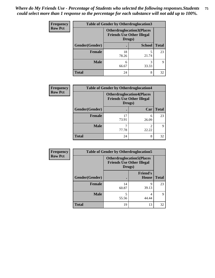| Frequency      | <b>Table of Gender by Otherdruglocation3</b> |                                                                                |               |              |
|----------------|----------------------------------------------|--------------------------------------------------------------------------------|---------------|--------------|
| <b>Row Pct</b> |                                              | <b>Otherdruglocation3(Places</b><br><b>Friends Use Other Illegal</b><br>Drugs) |               |              |
|                | Gender(Gender)                               |                                                                                | <b>School</b> | <b>Total</b> |
|                | Female                                       | 18<br>78.26                                                                    | 21.74         | 23           |
|                | <b>Male</b>                                  | 6<br>66.67                                                                     | 3<br>33.33    | Q            |
|                | <b>Total</b>                                 | 24                                                                             | 8             | 32           |

| <b>Frequency</b> | <b>Table of Gender by Otherdruglocation4</b> |             |                                                                                |              |  |
|------------------|----------------------------------------------|-------------|--------------------------------------------------------------------------------|--------------|--|
| <b>Row Pct</b>   |                                              |             | <b>Otherdruglocation4(Places</b><br><b>Friends Use Other Illegal</b><br>Drugs) |              |  |
|                  | Gender(Gender)                               |             | Car                                                                            | <b>Total</b> |  |
|                  | <b>Female</b>                                | 17<br>73.91 | 6<br>26.09                                                                     | 23           |  |
|                  | <b>Male</b>                                  | 77.78       | 22.22                                                                          | 9            |  |
|                  | <b>Total</b>                                 | 24          | 8                                                                              | 32           |  |

| <b>Frequency</b> | <b>Table of Gender by Otherdruglocation5</b> |                                            |                                  |              |
|------------------|----------------------------------------------|--------------------------------------------|----------------------------------|--------------|
| <b>Row Pct</b>   |                                              | <b>Friends Use Other Illegal</b><br>Drugs) | <b>Otherdruglocation5(Places</b> |              |
|                  | Gender(Gender)                               |                                            | <b>Friend's</b><br>House         | <b>Total</b> |
|                  | <b>Female</b>                                | 14<br>60.87                                | 9<br>39.13                       | 23           |
|                  | <b>Male</b>                                  | 5<br>55.56                                 | 4<br>44.44                       | 9            |
|                  | <b>Total</b>                                 | 19                                         | 13                               | 32           |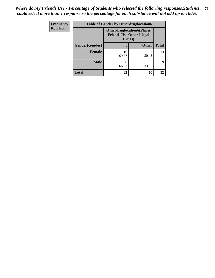| <b>Frequency</b> | <b>Table of Gender by Otherdruglocation6</b> |                                                                                |              |              |
|------------------|----------------------------------------------|--------------------------------------------------------------------------------|--------------|--------------|
| <b>Row Pct</b>   |                                              | <b>Otherdruglocation6(Places</b><br><b>Friends Use Other Illegal</b><br>Drugs) |              |              |
|                  | Gender(Gender)                               |                                                                                | <b>Other</b> | <b>Total</b> |
|                  | <b>Female</b>                                | 16<br>69.57                                                                    | 30.43        | 23           |
|                  | <b>Male</b>                                  | 6<br>66.67                                                                     | 33.33        | Q            |
|                  | <b>Total</b>                                 | 22                                                                             | 10           | 32           |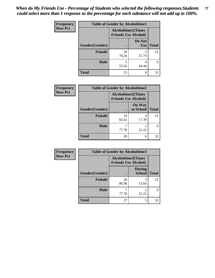| Frequency      | <b>Table of Gender by Alcoholtime1</b> |                                                          |                      |              |
|----------------|----------------------------------------|----------------------------------------------------------|----------------------|--------------|
| <b>Row Pct</b> |                                        | <b>Alcoholtime1(Times</b><br><b>Friends Use Alcohol)</b> |                      |              |
|                | Gender(Gender)                         | $\bullet$                                                | Do Not<br><b>Use</b> | <b>Total</b> |
|                | <b>Female</b>                          | 18<br>78.26                                              | 5<br>21.74           | 23           |
|                | <b>Male</b>                            | 5<br>55.56                                               | 4<br>44.44           | 9            |
|                | <b>Total</b>                           | 23                                                       | 9                    | 32           |

| <b>Frequency</b> | <b>Table of Gender by Alcoholtime2</b> |                                                          |                            |              |
|------------------|----------------------------------------|----------------------------------------------------------|----------------------------|--------------|
| <b>Row Pct</b>   |                                        | <b>Alcoholtime2(Times</b><br><b>Friends Use Alcohol)</b> |                            |              |
|                  | Gender(Gender)                         |                                                          | <b>On Way</b><br>to School | <b>Total</b> |
|                  | <b>Female</b>                          | 19<br>82.61                                              | 4<br>17.39                 | 23           |
|                  | <b>Male</b>                            | 77.78                                                    | 2<br>22.22                 | 9            |
|                  | <b>Total</b>                           | 26                                                       | 6                          | 32           |

| <b>Frequency</b> | <b>Table of Gender by Alcoholtime3</b> |                                                          |                                |              |
|------------------|----------------------------------------|----------------------------------------------------------|--------------------------------|--------------|
| <b>Row Pct</b>   |                                        | <b>Alcoholtime3(Times</b><br><b>Friends Use Alcohol)</b> |                                |              |
|                  | Gender(Gender)                         |                                                          | <b>During</b><br><b>School</b> | <b>Total</b> |
|                  | Female                                 | 20<br>86.96                                              | 3<br>13.04                     | 23           |
|                  | <b>Male</b>                            | 77.78                                                    | 2<br>22.22                     | 9            |
|                  | <b>Total</b>                           | 27                                                       | 5                              | 32           |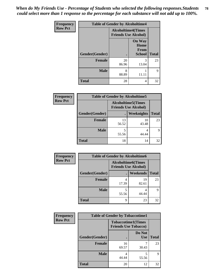*When do My Friends Use - Percentage of Students who selected the following responses.Students could select more than 1 response so the percentage for each substance will not add up to 100%.* **78**

| <b>Frequency</b> | <b>Table of Gender by Alcoholtime4</b> |                                                          |                                                |              |
|------------------|----------------------------------------|----------------------------------------------------------|------------------------------------------------|--------------|
| <b>Row Pct</b>   |                                        | <b>Alcoholtime4(Times</b><br><b>Friends Use Alcohol)</b> |                                                |              |
|                  | Gender(Gender)                         | $\bullet$                                                | <b>On Way</b><br>Home<br>From<br><b>School</b> | <b>Total</b> |
|                  | <b>Female</b>                          | 20<br>86.96                                              | 3<br>13.04                                     | 23           |
|                  | <b>Male</b>                            | 8<br>88.89                                               | 11.11                                          | 9            |
|                  | <b>Total</b>                           | 28                                                       | 4                                              | 32           |

| <b>Frequency</b> | <b>Table of Gender by Alcoholtime5</b> |                                                           |                   |              |
|------------------|----------------------------------------|-----------------------------------------------------------|-------------------|--------------|
| <b>Row Pct</b>   |                                        | <b>Alcoholtime5</b> (Times<br><b>Friends Use Alcohol)</b> |                   |              |
|                  | Gender(Gender)                         |                                                           | <b>Weeknights</b> | <b>Total</b> |
|                  | <b>Female</b>                          | 13<br>56.52                                               | 10<br>43.48       | 23           |
|                  | <b>Male</b>                            | 55.56                                                     | 4<br>44.44        | 9            |
|                  | <b>Total</b>                           | 18                                                        | 14                | 32           |

| <b>Frequency</b> |                | <b>Table of Gender by Alcoholtime6</b> |                                                          |              |
|------------------|----------------|----------------------------------------|----------------------------------------------------------|--------------|
| <b>Row Pct</b>   |                |                                        | <b>Alcoholtime6(Times</b><br><b>Friends Use Alcohol)</b> |              |
|                  | Gender(Gender) |                                        | Weekends                                                 | <b>Total</b> |
|                  | Female         | 4<br>17.39                             | 19<br>82.61                                              | 23           |
|                  | <b>Male</b>    | 5<br>55.56                             | 4<br>44.44                                               | 9            |
|                  | <b>Total</b>   | 9                                      | 23                                                       | 32           |

| <b>Frequency</b> | <b>Table of Gender by Tobaccotime1</b> |                                                          |                      |              |
|------------------|----------------------------------------|----------------------------------------------------------|----------------------|--------------|
| <b>Row Pct</b>   |                                        | <b>Tobaccotime1(Times</b><br><b>Friends Use Tobacco)</b> |                      |              |
|                  | Gender(Gender)                         |                                                          | Do Not<br><b>Use</b> | <b>Total</b> |
|                  | <b>Female</b>                          | 16<br>69.57                                              | 30.43                | 23           |
|                  | <b>Male</b>                            | 44.44                                                    | 5<br>55.56           | 9            |
|                  | <b>Total</b>                           | 20                                                       | 12                   | 32           |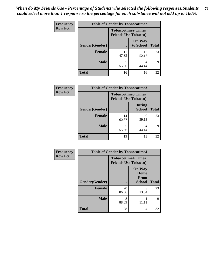*When do My Friends Use - Percentage of Students who selected the following responses.Students could select more than 1 response so the percentage for each substance will not add up to 100%.* **79**

| Frequency      |                | <b>Table of Gender by Tobaccotime2</b>                   |                            |              |
|----------------|----------------|----------------------------------------------------------|----------------------------|--------------|
| <b>Row Pct</b> |                | <b>Tobaccotime2(Times</b><br><b>Friends Use Tobacco)</b> |                            |              |
|                | Gender(Gender) | $\bullet$                                                | <b>On Way</b><br>to School | <b>Total</b> |
|                | Female         | 11<br>47.83                                              | 12<br>52.17                | 23           |
|                | <b>Male</b>    | 5<br>55.56                                               | 4<br>44.44                 | 9            |
|                | <b>Total</b>   | 16                                                       | 16                         | 32           |

| Frequency      | <b>Table of Gender by Tobaccotime3</b> |                             |                                |              |
|----------------|----------------------------------------|-----------------------------|--------------------------------|--------------|
| <b>Row Pct</b> |                                        | <b>Friends Use Tobacco)</b> | <b>Tobaccotime3(Times</b>      |              |
|                | Gender(Gender)                         |                             | <b>During</b><br><b>School</b> | <b>Total</b> |
|                | <b>Female</b>                          | 14<br>60.87                 | 9<br>39.13                     | 23           |
|                | <b>Male</b>                            | 5<br>55.56                  | 4<br>44.44                     | 9            |
|                | <b>Total</b>                           | 19                          | 13                             | 32           |

| <b>Frequency</b> | <b>Table of Gender by Tobaccotime4</b> |                                                          |                                                |              |
|------------------|----------------------------------------|----------------------------------------------------------|------------------------------------------------|--------------|
| <b>Row Pct</b>   |                                        | <b>Tobaccotime4(Times</b><br><b>Friends Use Tobacco)</b> |                                                |              |
|                  | Gender(Gender)                         |                                                          | <b>On Way</b><br>Home<br>From<br><b>School</b> | <b>Total</b> |
|                  | <b>Female</b>                          | 20<br>86.96                                              | 3<br>13.04                                     | 23           |
|                  | <b>Male</b>                            | 8<br>88.89                                               | 11.11                                          | 9            |
|                  | <b>Total</b>                           | 28                                                       | 4                                              | 32           |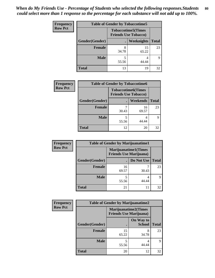| <b>Frequency</b> | <b>Table of Gender by Tobaccotime5</b> |            |                                                           |              |  |
|------------------|----------------------------------------|------------|-----------------------------------------------------------|--------------|--|
| <b>Row Pct</b>   |                                        |            | <b>Tobaccotime5</b> (Times<br><b>Friends Use Tobacco)</b> |              |  |
|                  | Gender(Gender)                         |            | Weeknights                                                | <b>Total</b> |  |
|                  | <b>Female</b>                          | 8<br>34.78 | 15<br>65.22                                               | 23           |  |
|                  | <b>Male</b>                            | 55.56      | 4<br>44.44                                                | 9            |  |
|                  | Total                                  | 13         | 19                                                        | 32           |  |

| <b>Frequency</b> | <b>Table of Gender by Tobaccotime6</b> |                                                          |                 |              |
|------------------|----------------------------------------|----------------------------------------------------------|-----------------|--------------|
| <b>Row Pct</b>   |                                        | <b>Tobaccotime6(Times</b><br><b>Friends Use Tobacco)</b> |                 |              |
|                  | Gender(Gender)                         |                                                          | <b>Weekends</b> | <b>Total</b> |
|                  | Female                                 | 30.43                                                    | 16<br>69.57     | 23           |
|                  | <b>Male</b>                            | 55.56                                                    | 4<br>44.44      | Q            |
|                  | <b>Total</b>                           | 12                                                       | 20              | 32           |

| <b>Frequency</b> | <b>Table of Gender by Marijuanatime1</b> |                                |                             |              |
|------------------|------------------------------------------|--------------------------------|-----------------------------|--------------|
| <b>Row Pct</b>   |                                          | <b>Friends Use Marijuana</b> ) | <b>Marijuanatime1(Times</b> |              |
|                  | Gender(Gender)                           |                                | Do Not Use                  | <b>Total</b> |
|                  | <b>Female</b>                            | 16<br>69.57                    | 30.43                       | 23           |
|                  | <b>Male</b>                              | 55.56                          | 4<br>44.44                  | 9            |
|                  | <b>Total</b>                             | 21                             | 11                          | 32           |

| <b>Frequency</b> | <b>Table of Gender by Marijuanatime2</b> |                                |                             |              |
|------------------|------------------------------------------|--------------------------------|-----------------------------|--------------|
| <b>Row Pct</b>   |                                          | <b>Friends Use Marijuana</b> ) | <b>Marijuanatime2(Times</b> |              |
|                  | Gender(Gender)                           |                                | On Way to<br><b>School</b>  | <b>Total</b> |
|                  | <b>Female</b>                            | 15<br>65.22                    | 8<br>34.78                  | 23           |
|                  | <b>Male</b>                              | 55.56                          | 4<br>44.44                  | 9            |
|                  | <b>Total</b>                             | 20                             | 12                          | 32           |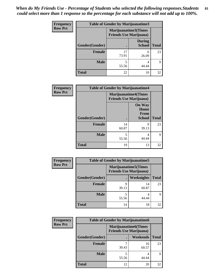*When do My Friends Use - Percentage of Students who selected the following responses.Students could select more than 1 response so the percentage for each substance will not add up to 100%.* **81**

| <b>Frequency</b> | Table of Gender by Marijuanatime3 |                                                        |                                |              |
|------------------|-----------------------------------|--------------------------------------------------------|--------------------------------|--------------|
| <b>Row Pct</b>   |                                   | Marijuanatime3(Times<br><b>Friends Use Marijuana</b> ) |                                |              |
|                  | Gender(Gender)                    | $\bullet$                                              | <b>During</b><br><b>School</b> | <b>Total</b> |
|                  | <b>Female</b>                     | 17<br>73.91                                            | 6<br>26.09                     | 23           |
|                  | <b>Male</b>                       | 5<br>55.56                                             | 4<br>44.44                     | Q            |
|                  | <b>Total</b>                      | 22                                                     | 10                             | 32           |

| Frequency      | <b>Table of Gender by Marijuanatime4</b> |                                |                                                       |              |
|----------------|------------------------------------------|--------------------------------|-------------------------------------------------------|--------------|
| <b>Row Pct</b> |                                          | <b>Friends Use Marijuana</b> ) | <b>Marijuanatime4</b> (Times                          |              |
|                | Gender(Gender)                           |                                | <b>On Way</b><br>Home<br><b>From</b><br><b>School</b> | <b>Total</b> |
|                | <b>Female</b>                            | 14<br>60.87                    | 9<br>39.13                                            | 23           |
|                | <b>Male</b>                              | 5<br>55.56                     | 4<br>44.44                                            | 9            |
|                | <b>Total</b>                             | 19                             | 13                                                    | 32           |

| Frequency      | <b>Table of Gender by Marijuanatime5</b> |                                                                |             |              |  |
|----------------|------------------------------------------|----------------------------------------------------------------|-------------|--------------|--|
| <b>Row Pct</b> |                                          | <b>Marijuanatime5</b> (Times<br><b>Friends Use Marijuana</b> ) |             |              |  |
|                | Gender(Gender)                           |                                                                | Weeknights  | <b>Total</b> |  |
|                | <b>Female</b>                            | Q<br>39.13                                                     | 14<br>60.87 | 23           |  |
|                | <b>Male</b>                              | 55.56                                                          | 4<br>44.44  | 9            |  |
|                | <b>Total</b>                             | 14                                                             | 18          | 32           |  |

| Frequency      | <b>Table of Gender by Marijuanatime6</b> |                                |                              |              |  |
|----------------|------------------------------------------|--------------------------------|------------------------------|--------------|--|
| <b>Row Pct</b> |                                          | <b>Friends Use Marijuana</b> ) | <b>Marijuanatime6</b> (Times |              |  |
|                | Gender(Gender)                           |                                | Weekends                     | <b>Total</b> |  |
|                | Female                                   | 30.43                          | 16<br>69.57                  | 23           |  |
|                | <b>Male</b>                              | 5<br>55.56                     | 44.44                        | 9            |  |
|                | <b>Total</b>                             | 12                             | 20                           | 32           |  |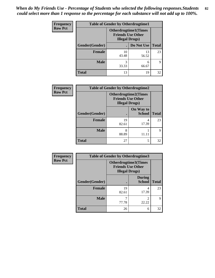*When do My Friends Use - Percentage of Students who selected the following responses.Students could select more than 1 response so the percentage for each substance will not add up to 100%.* **82**

| <b>Frequency</b> | <b>Table of Gender by Otherdrugtime1</b> |                        |                                                          |              |
|------------------|------------------------------------------|------------------------|----------------------------------------------------------|--------------|
| <b>Row Pct</b>   |                                          | <b>Illegal Drugs</b> ) | <b>Otherdrugtime1</b> (Times<br><b>Friends Use Other</b> |              |
|                  | Gender(Gender)                           |                        | Do Not Use                                               | <b>Total</b> |
|                  | <b>Female</b>                            | 10<br>43.48            | 13<br>56.52                                              | 23           |
|                  | <b>Male</b>                              | 3<br>33.33             | 6<br>66.67                                               | Q            |
|                  | <b>Total</b>                             | 13                     | 19                                                       | 32           |

| Frequency      | <b>Table of Gender by Otherdrugtime2</b> |                                                                                   |                            |              |
|----------------|------------------------------------------|-----------------------------------------------------------------------------------|----------------------------|--------------|
| <b>Row Pct</b> |                                          | <b>Otherdrugtime2(Times</b><br><b>Friends Use Other</b><br><b>Illegal Drugs</b> ) |                            |              |
|                | Gender(Gender)                           |                                                                                   | On Way to<br><b>School</b> | <b>Total</b> |
|                | <b>Female</b>                            | 19<br>82.61                                                                       | 4<br>17.39                 | 23           |
|                | <b>Male</b>                              | 8<br>88.89                                                                        | 11.11                      | 9            |
|                | <b>Total</b>                             | 27                                                                                | 5                          | 32           |

| Frequency      | <b>Table of Gender by Otherdrugtime3</b> |                        |                                                         |              |
|----------------|------------------------------------------|------------------------|---------------------------------------------------------|--------------|
| <b>Row Pct</b> |                                          | <b>Illegal Drugs</b> ) | <b>Otherdrugtime3(Times</b><br><b>Friends Use Other</b> |              |
|                | Gender(Gender)                           |                        | <b>During</b><br><b>School</b>                          | <b>Total</b> |
|                | <b>Female</b>                            | 19<br>82.61            | 4<br>17.39                                              | 23           |
|                | <b>Male</b>                              | 77.78                  | $\mathfrak{D}$<br>22.22                                 | 9            |
|                | <b>Total</b>                             | 26                     | 6                                                       | 32           |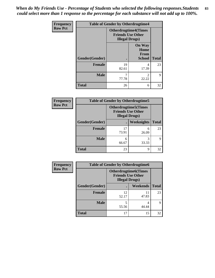*When do My Friends Use - Percentage of Students who selected the following responses.Students could select more than 1 response so the percentage for each substance will not add up to 100%.* **83**

| <b>Frequency</b> | <b>Table of Gender by Otherdrugtime4</b> |                                                                                   |                                                |              |
|------------------|------------------------------------------|-----------------------------------------------------------------------------------|------------------------------------------------|--------------|
| <b>Row Pct</b>   |                                          | <b>Otherdrugtime4(Times</b><br><b>Friends Use Other</b><br><b>Illegal Drugs</b> ) |                                                |              |
|                  | Gender(Gender)                           |                                                                                   | <b>On Way</b><br>Home<br>From<br><b>School</b> | <b>Total</b> |
|                  | Female                                   | 19<br>82.61                                                                       | 4<br>17.39                                     | 23           |
|                  | <b>Male</b>                              | 7<br>77.78                                                                        | $\mathfrak{D}$<br>22.22                        | 9            |
|                  | <b>Total</b>                             | 26                                                                                | 6                                              | 32           |

| <b>Frequency</b> | <b>Table of Gender by Otherdrugtime5</b> |             |                                                                                    |              |
|------------------|------------------------------------------|-------------|------------------------------------------------------------------------------------|--------------|
| <b>Row Pct</b>   |                                          |             | <b>Otherdrugtime5</b> (Times<br><b>Friends Use Other</b><br><b>Illegal Drugs</b> ) |              |
|                  | Gender(Gender)                           |             | Weeknights                                                                         | <b>Total</b> |
|                  | <b>Female</b>                            | 17<br>73.91 | 6<br>26.09                                                                         | 23           |
|                  | <b>Male</b>                              | 6<br>66.67  | 3<br>33.33                                                                         | Q            |
|                  | <b>Total</b>                             | 23          | 9                                                                                  | 32           |

| <b>Frequency</b> | <b>Table of Gender by Otherdrugtime6</b> |                                                                                   |             |              |
|------------------|------------------------------------------|-----------------------------------------------------------------------------------|-------------|--------------|
| <b>Row Pct</b>   |                                          | <b>Otherdrugtime6(Times</b><br><b>Friends Use Other</b><br><b>Illegal Drugs</b> ) |             |              |
|                  | Gender(Gender)                           |                                                                                   | Weekends    | <b>Total</b> |
|                  | Female                                   | 12<br>52.17                                                                       | 11<br>47.83 | 23           |
|                  | <b>Male</b>                              | 5<br>55.56                                                                        | 4<br>44.44  | 9            |
|                  | <b>Total</b>                             | 17                                                                                | 15          | 32           |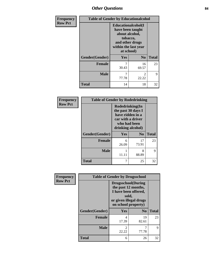# *Other Questions* **84**

| Frequency      | <b>Table of Gender by Educationalcohol</b> |                                                                                                                               |                         |              |
|----------------|--------------------------------------------|-------------------------------------------------------------------------------------------------------------------------------|-------------------------|--------------|
| <b>Row Pct</b> |                                            | Educationalcohol(I<br>have been taught<br>about alcohol,<br>tobacco,<br>and other drugs<br>within the last year<br>at school) |                         |              |
|                | Gender(Gender)                             | Yes                                                                                                                           | N <sub>0</sub>          | <b>Total</b> |
|                | <b>Female</b>                              | 7<br>30.43                                                                                                                    | 16<br>69.57             | 23           |
|                | <b>Male</b>                                | 7<br>77.78                                                                                                                    | $\mathfrak{D}$<br>22.22 | 9            |
|                | <b>Total</b>                               | 14                                                                                                                            | 18                      | 32           |

| Frequency      | <b>Table of Gender by Rodedrinking</b> |                                                                                                                     |                |              |  |
|----------------|----------------------------------------|---------------------------------------------------------------------------------------------------------------------|----------------|--------------|--|
| <b>Row Pct</b> |                                        | Rodedrinking(In<br>the past 30 days I<br>have ridden in a<br>car with a driver<br>who had been<br>drinking alcohol) |                |              |  |
|                | Gender(Gender)                         | Yes                                                                                                                 | N <sub>0</sub> | <b>Total</b> |  |
|                | <b>Female</b>                          | 6<br>26.09                                                                                                          | 17<br>73.91    | 23           |  |
|                | <b>Male</b>                            | 11.11                                                                                                               | 8<br>88.89     | Q            |  |
|                | <b>Total</b>                           |                                                                                                                     | 25             | 32           |  |

| Frequency      | <b>Table of Gender by Drugsschool</b> |                                                                                                                                     |                |              |  |
|----------------|---------------------------------------|-------------------------------------------------------------------------------------------------------------------------------------|----------------|--------------|--|
| <b>Row Pct</b> |                                       | <b>Drugsschool</b> (During<br>the past 12 months,<br>I have been offered,<br>sold,<br>or given illegal drugs<br>on school property) |                |              |  |
|                | Gender(Gender)                        | Yes                                                                                                                                 | N <sub>0</sub> | <b>Total</b> |  |
|                | <b>Female</b>                         | 4<br>17.39                                                                                                                          | 19<br>82.61    | 23           |  |
|                | <b>Male</b>                           | $\overline{c}$<br>22.22                                                                                                             | 77.78          | 9            |  |
|                | <b>Total</b>                          | 6                                                                                                                                   | 26             | 32           |  |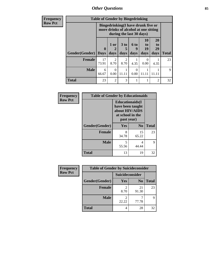# *Other Questions* **85**

**Frequency Row Pct**

| <b>Table of Gender by Bingedrinking</b>                                                                                                        |             |                                                                                                         |           |           |       |       |              |
|------------------------------------------------------------------------------------------------------------------------------------------------|-------------|---------------------------------------------------------------------------------------------------------|-----------|-----------|-------|-------|--------------|
|                                                                                                                                                |             | Bingedrinking(I have drunk five or<br>more drinks of alcohol at one sitting<br>during the last 30 days) |           |           |       |       |              |
| <b>20</b><br>10<br>3 to<br><b>6 to</b><br>1 or<br>to<br>to<br>29<br>19<br>0<br>5<br>4<br>Gender(Gender)<br>days<br>days<br>days<br><b>Days</b> |             |                                                                                                         |           |           |       |       |              |
|                                                                                                                                                |             |                                                                                                         |           |           | days  | days  | <b>Total</b> |
| <b>Female</b>                                                                                                                                  | 17<br>73.91 | $\overline{2}$<br>8.70                                                                                  | 2<br>8.70 | 4.35      | 0.00  | 4.35  | 23           |
| <b>Male</b>                                                                                                                                    | 6<br>66.67  | 0.00                                                                                                    | 11.11     | 0<br>0.00 | 11.11 | 11.11 | Q            |

| Frequency      | <b>Table of Gender by Educationaids</b> |                                                                                                 |                |              |  |
|----------------|-----------------------------------------|-------------------------------------------------------------------------------------------------|----------------|--------------|--|
| <b>Row Pct</b> |                                         | <b>Educationaids</b> (I<br>have been taught<br>about HIV/AIDS<br>at school in the<br>past year) |                |              |  |
|                | Gender(Gender)                          | Yes                                                                                             | $\mathbf{N_0}$ | <b>Total</b> |  |
|                | <b>Female</b>                           | 8<br>34.78                                                                                      | 15<br>65.22    | 23           |  |
|                | <b>Male</b>                             | 5<br>55.56                                                                                      | 4<br>44.44     | 9            |  |
|                | <b>Total</b>                            | 13                                                                                              | 19             | 32           |  |

| <b>Frequency</b> | <b>Table of Gender by Suicideconsider</b> |                 |                |              |  |
|------------------|-------------------------------------------|-----------------|----------------|--------------|--|
| <b>Row Pct</b>   |                                           | Suicideconsider |                |              |  |
|                  | Gender(Gender)                            | Yes             | N <sub>0</sub> | <b>Total</b> |  |
|                  | <b>Female</b>                             | 8.70            | 21<br>91.30    | 23           |  |
|                  | <b>Male</b>                               | 22.22           | 77.78          | 9            |  |
|                  | <b>Total</b>                              |                 | 28             | 32           |  |